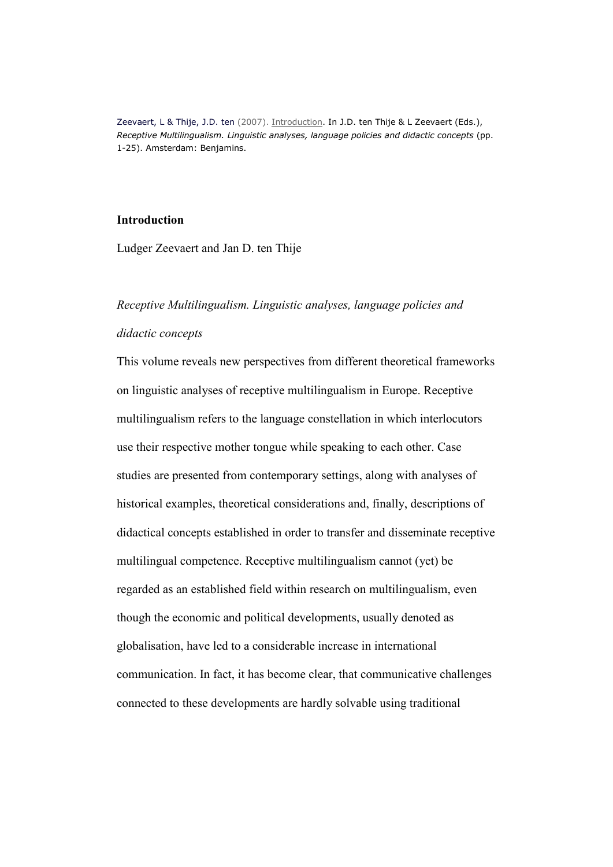Zeevaert, L & Thije, J.D. ten (2007). Introduction. In J.D. ten Thije & L Zeevaert (Eds.), Receptive Multilingualism. Linguistic analyses, language policies and didactic concepts (pp. 1-25). Amsterdam: Benjamins.

# Introduction

Ludger Zeevaert and Jan D. ten Thije

#### Receptive Multilingualism. Linguistic analyses, language policies and

### didactic concepts

This volume reveals new perspectives from different theoretical frameworks on linguistic analyses of receptive multilingualism in Europe. Receptive multilingualism refers to the language constellation in which interlocutors use their respective mother tongue while speaking to each other. Case studies are presented from contemporary settings, along with analyses of historical examples, theoretical considerations and, finally, descriptions of didactical concepts established in order to transfer and disseminate receptive multilingual competence. Receptive multilingualism cannot (yet) be regarded as an established field within research on multilingualism, even though the economic and political developments, usually denoted as globalisation, have led to a considerable increase in international communication. In fact, it has become clear, that communicative challenges connected to these developments are hardly solvable using traditional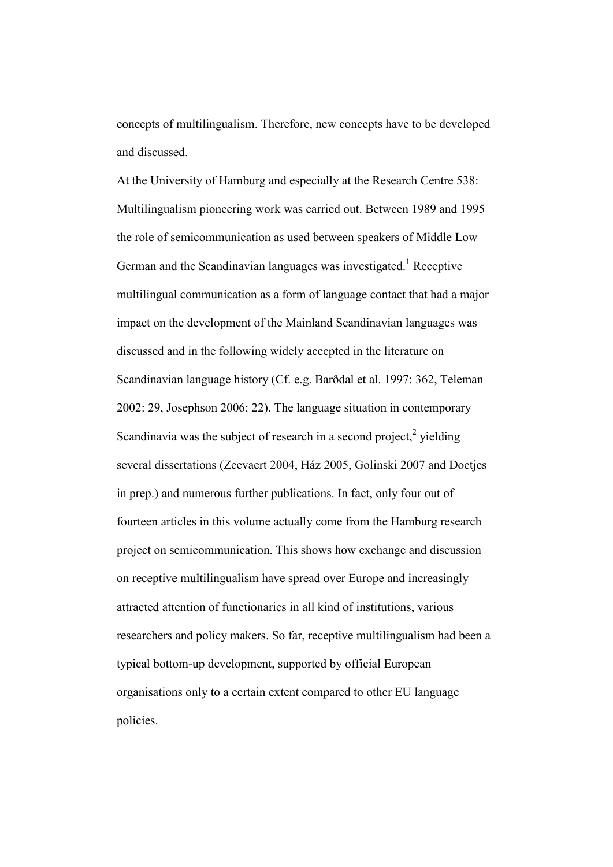concepts of multilingualism. Therefore, new concepts have to be developed and discussed.

At the University of Hamburg and especially at the Research Centre 538: Multilingualism pioneering work was carried out. Between 1989 and 1995 the role of semicommunication as used between speakers of Middle Low German and the Scandinavian languages was investigated.<sup>1</sup> Receptive multilingual communication as a form of language contact that had a major impact on the development of the Mainland Scandinavian languages was discussed and in the following widely accepted in the literature on Scandinavian language history (Cf. e.g. Barðdal et al. 1997: 362, Teleman 2002: 29, Josephson 2006: 22). The language situation in contemporary Scandinavia was the subject of research in a second project, $2$  yielding several dissertations (Zeevaert 2004, Ház 2005, Golinski 2007 and Doetjes in prep.) and numerous further publications. In fact, only four out of fourteen articles in this volume actually come from the Hamburg research project on semicommunication. This shows how exchange and discussion on receptive multilingualism have spread over Europe and increasingly attracted attention of functionaries in all kind of institutions, various researchers and policy makers. So far, receptive multilingualism had been a typical bottom-up development, supported by official European organisations only to a certain extent compared to other EU language policies.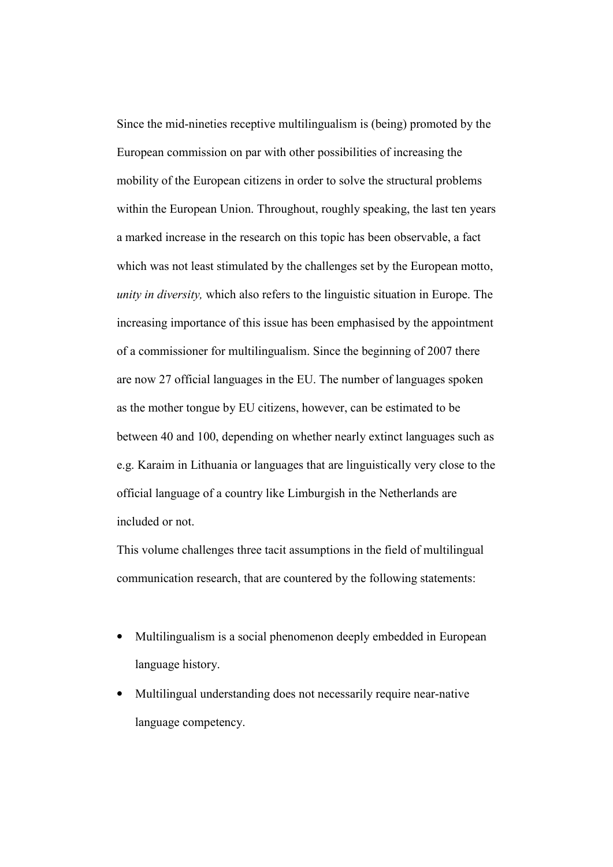Since the mid-nineties receptive multilingualism is (being) promoted by the European commission on par with other possibilities of increasing the mobility of the European citizens in order to solve the structural problems within the European Union. Throughout, roughly speaking, the last ten years a marked increase in the research on this topic has been observable, a fact which was not least stimulated by the challenges set by the European motto, unity in diversity, which also refers to the linguistic situation in Europe. The increasing importance of this issue has been emphasised by the appointment of a commissioner for multilingualism. Since the beginning of 2007 there are now 27 official languages in the EU. The number of languages spoken as the mother tongue by EU citizens, however, can be estimated to be between 40 and 100, depending on whether nearly extinct languages such as e.g. Karaim in Lithuania or languages that are linguistically very close to the official language of a country like Limburgish in the Netherlands are included or not.

This volume challenges three tacit assumptions in the field of multilingual communication research, that are countered by the following statements:

- Multilingualism is a social phenomenon deeply embedded in European language history.
- Multilingual understanding does not necessarily require near-native language competency.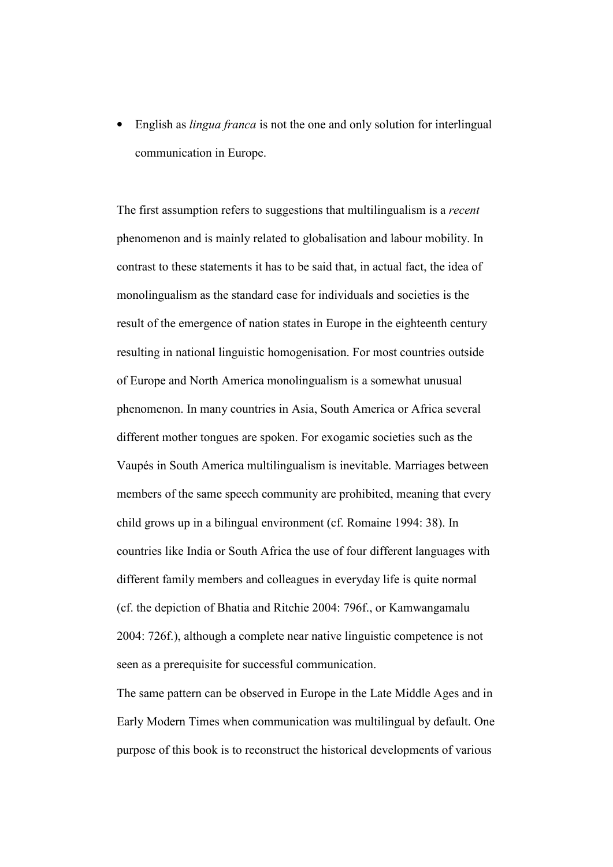• English as *lingua franca* is not the one and only solution for interlingual communication in Europe.

The first assumption refers to suggestions that multilingualism is a *recent* phenomenon and is mainly related to globalisation and labour mobility. In contrast to these statements it has to be said that, in actual fact, the idea of monolingualism as the standard case for individuals and societies is the result of the emergence of nation states in Europe in the eighteenth century resulting in national linguistic homogenisation. For most countries outside of Europe and North America monolingualism is a somewhat unusual phenomenon. In many countries in Asia, South America or Africa several different mother tongues are spoken. For exogamic societies such as the Vaupés in South America multilingualism is inevitable. Marriages between members of the same speech community are prohibited, meaning that every child grows up in a bilingual environment (cf. Romaine 1994: 38). In countries like India or South Africa the use of four different languages with different family members and colleagues in everyday life is quite normal (cf. the depiction of Bhatia and Ritchie 2004: 796f., or Kamwangamalu 2004: 726f.), although a complete near native linguistic competence is not seen as a prerequisite for successful communication.

The same pattern can be observed in Europe in the Late Middle Ages and in Early Modern Times when communication was multilingual by default. One purpose of this book is to reconstruct the historical developments of various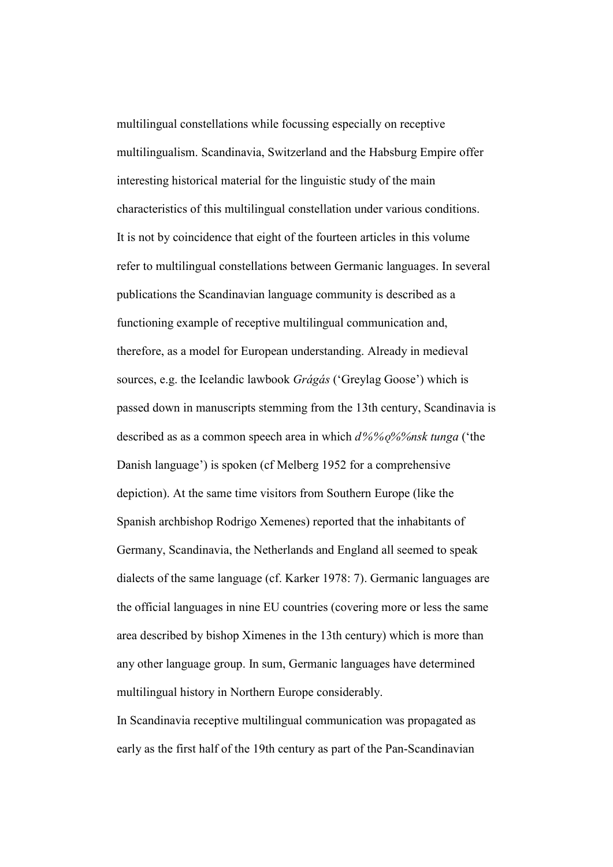multilingual constellations while focussing especially on receptive multilingualism. Scandinavia, Switzerland and the Habsburg Empire offer interesting historical material for the linguistic study of the main characteristics of this multilingual constellation under various conditions. It is not by coincidence that eight of the fourteen articles in this volume refer to multilingual constellations between Germanic languages. In several publications the Scandinavian language community is described as a functioning example of receptive multilingual communication and, therefore, as a model for European understanding. Already in medieval sources, e.g. the Icelandic lawbook *Grágás* ('Greylag Goose') which is passed down in manuscripts stemming from the 13th century, Scandinavia is described as as a common speech area in which  $d\frac{6}{\%}\frac{6}{\%}\frac{6}{\%}}$  tunga ('the Danish language') is spoken (cf Melberg 1952 for a comprehensive depiction). At the same time visitors from Southern Europe (like the Spanish archbishop Rodrigo Xemenes) reported that the inhabitants of Germany, Scandinavia, the Netherlands and England all seemed to speak dialects of the same language (cf. Karker 1978: 7). Germanic languages are the official languages in nine EU countries (covering more or less the same area described by bishop Ximenes in the 13th century) which is more than any other language group. In sum, Germanic languages have determined multilingual history in Northern Europe considerably.

In Scandinavia receptive multilingual communication was propagated as early as the first half of the 19th century as part of the Pan-Scandinavian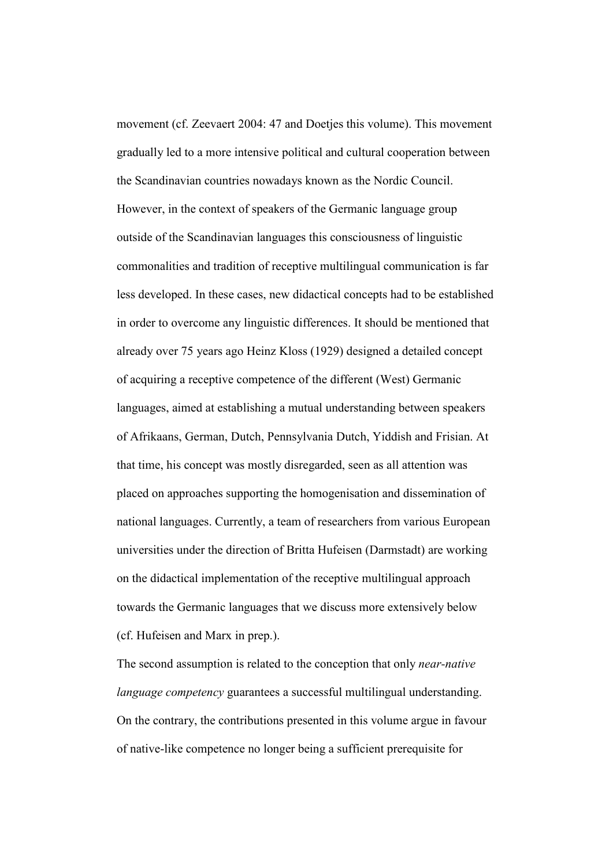movement (cf. Zeevaert 2004: 47 and Doetjes this volume). This movement gradually led to a more intensive political and cultural cooperation between the Scandinavian countries nowadays known as the Nordic Council. However, in the context of speakers of the Germanic language group outside of the Scandinavian languages this consciousness of linguistic commonalities and tradition of receptive multilingual communication is far less developed. In these cases, new didactical concepts had to be established in order to overcome any linguistic differences. It should be mentioned that already over 75 years ago Heinz Kloss (1929) designed a detailed concept of acquiring a receptive competence of the different (West) Germanic languages, aimed at establishing a mutual understanding between speakers of Afrikaans, German, Dutch, Pennsylvania Dutch, Yiddish and Frisian. At that time, his concept was mostly disregarded, seen as all attention was placed on approaches supporting the homogenisation and dissemination of national languages. Currently, a team of researchers from various European universities under the direction of Britta Hufeisen (Darmstadt) are working on the didactical implementation of the receptive multilingual approach towards the Germanic languages that we discuss more extensively below (cf. Hufeisen and Marx in prep.).

The second assumption is related to the conception that only near-native language competency guarantees a successful multilingual understanding. On the contrary, the contributions presented in this volume argue in favour of native-like competence no longer being a sufficient prerequisite for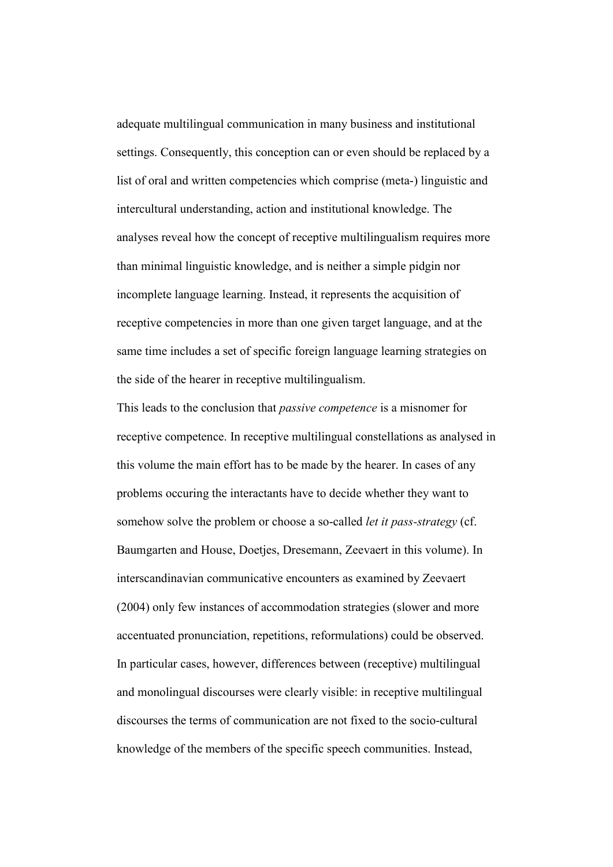adequate multilingual communication in many business and institutional settings. Consequently, this conception can or even should be replaced by a list of oral and written competencies which comprise (meta-) linguistic and intercultural understanding, action and institutional knowledge. The analyses reveal how the concept of receptive multilingualism requires more than minimal linguistic knowledge, and is neither a simple pidgin nor incomplete language learning. Instead, it represents the acquisition of receptive competencies in more than one given target language, and at the same time includes a set of specific foreign language learning strategies on the side of the hearer in receptive multilingualism.

This leads to the conclusion that passive competence is a misnomer for receptive competence. In receptive multilingual constellations as analysed in this volume the main effort has to be made by the hearer. In cases of any problems occuring the interactants have to decide whether they want to somehow solve the problem or choose a so-called *let it pass-strategy* (cf. Baumgarten and House, Doetjes, Dresemann, Zeevaert in this volume). In interscandinavian communicative encounters as examined by Zeevaert (2004) only few instances of accommodation strategies (slower and more accentuated pronunciation, repetitions, reformulations) could be observed. In particular cases, however, differences between (receptive) multilingual and monolingual discourses were clearly visible: in receptive multilingual discourses the terms of communication are not fixed to the socio-cultural knowledge of the members of the specific speech communities. Instead,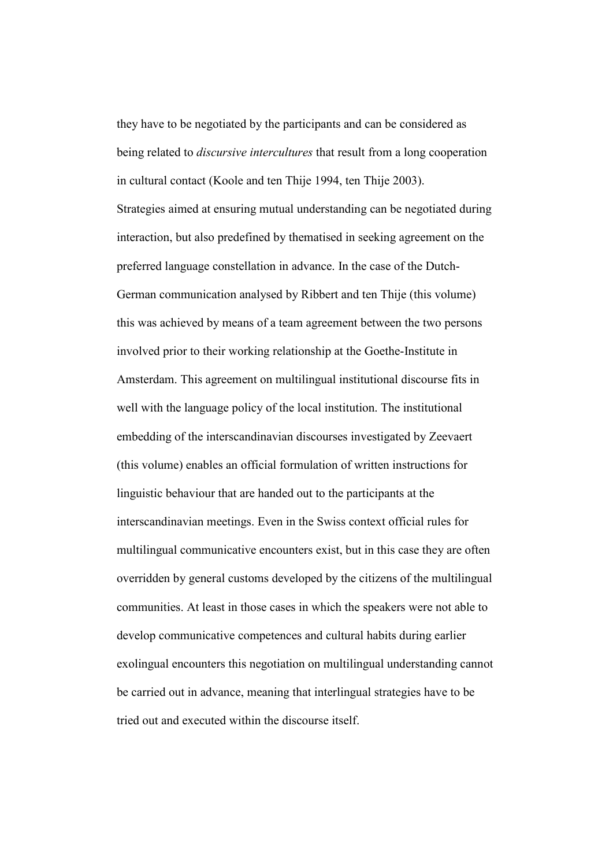they have to be negotiated by the participants and can be considered as being related to *discursive intercultures* that result from a long cooperation in cultural contact (Koole and ten Thije 1994, ten Thije 2003).

Strategies aimed at ensuring mutual understanding can be negotiated during interaction, but also predefined by thematised in seeking agreement on the preferred language constellation in advance. In the case of the Dutch-German communication analysed by Ribbert and ten Thije (this volume) this was achieved by means of a team agreement between the two persons involved prior to their working relationship at the Goethe-Institute in Amsterdam. This agreement on multilingual institutional discourse fits in well with the language policy of the local institution. The institutional embedding of the interscandinavian discourses investigated by Zeevaert (this volume) enables an official formulation of written instructions for linguistic behaviour that are handed out to the participants at the interscandinavian meetings. Even in the Swiss context official rules for multilingual communicative encounters exist, but in this case they are often overridden by general customs developed by the citizens of the multilingual communities. At least in those cases in which the speakers were not able to develop communicative competences and cultural habits during earlier exolingual encounters this negotiation on multilingual understanding cannot be carried out in advance, meaning that interlingual strategies have to be tried out and executed within the discourse itself.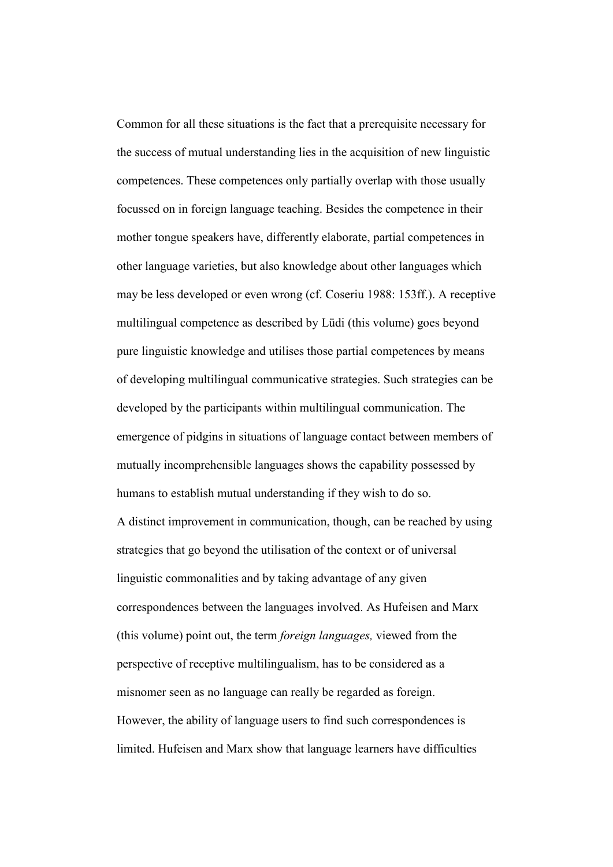Common for all these situations is the fact that a prerequisite necessary for the success of mutual understanding lies in the acquisition of new linguistic competences. These competences only partially overlap with those usually focussed on in foreign language teaching. Besides the competence in their mother tongue speakers have, differently elaborate, partial competences in other language varieties, but also knowledge about other languages which may be less developed or even wrong (cf. Coseriu 1988: 153ff.). A receptive multilingual competence as described by Lüdi (this volume) goes beyond pure linguistic knowledge and utilises those partial competences by means of developing multilingual communicative strategies. Such strategies can be developed by the participants within multilingual communication. The emergence of pidgins in situations of language contact between members of mutually incomprehensible languages shows the capability possessed by humans to establish mutual understanding if they wish to do so.

A distinct improvement in communication, though, can be reached by using strategies that go beyond the utilisation of the context or of universal linguistic commonalities and by taking advantage of any given correspondences between the languages involved. As Hufeisen and Marx (this volume) point out, the term foreign languages, viewed from the perspective of receptive multilingualism, has to be considered as a misnomer seen as no language can really be regarded as foreign. However, the ability of language users to find such correspondences is limited. Hufeisen and Marx show that language learners have difficulties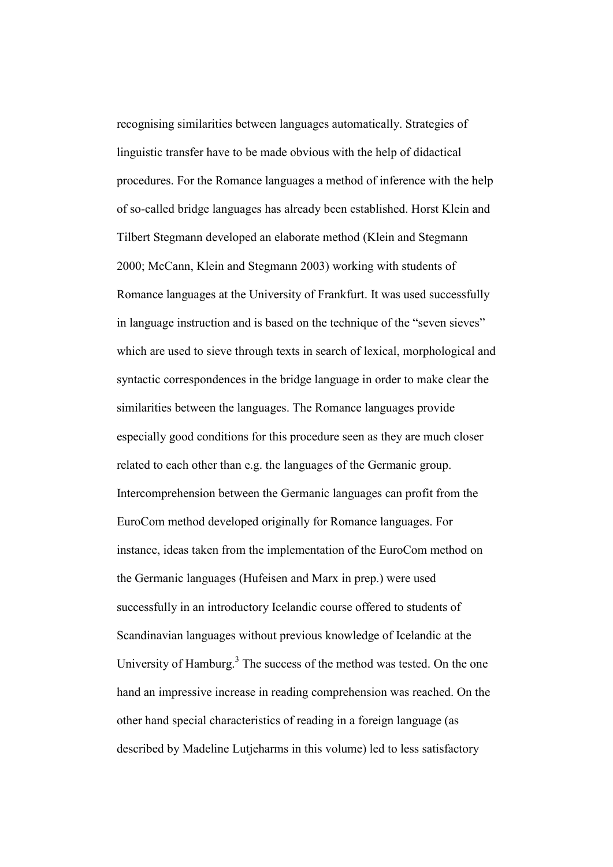recognising similarities between languages automatically. Strategies of linguistic transfer have to be made obvious with the help of didactical procedures. For the Romance languages a method of inference with the help of so-called bridge languages has already been established. Horst Klein and Tilbert Stegmann developed an elaborate method (Klein and Stegmann 2000; McCann, Klein and Stegmann 2003) working with students of Romance languages at the University of Frankfurt. It was used successfully in language instruction and is based on the technique of the "seven sieves" which are used to sieve through texts in search of lexical, morphological and syntactic correspondences in the bridge language in order to make clear the similarities between the languages. The Romance languages provide especially good conditions for this procedure seen as they are much closer related to each other than e.g. the languages of the Germanic group. Intercomprehension between the Germanic languages can profit from the EuroCom method developed originally for Romance languages. For instance, ideas taken from the implementation of the EuroCom method on the Germanic languages (Hufeisen and Marx in prep.) were used successfully in an introductory Icelandic course offered to students of Scandinavian languages without previous knowledge of Icelandic at the University of Hamburg.<sup>3</sup> The success of the method was tested. On the one hand an impressive increase in reading comprehension was reached. On the other hand special characteristics of reading in a foreign language (as described by Madeline Lutjeharms in this volume) led to less satisfactory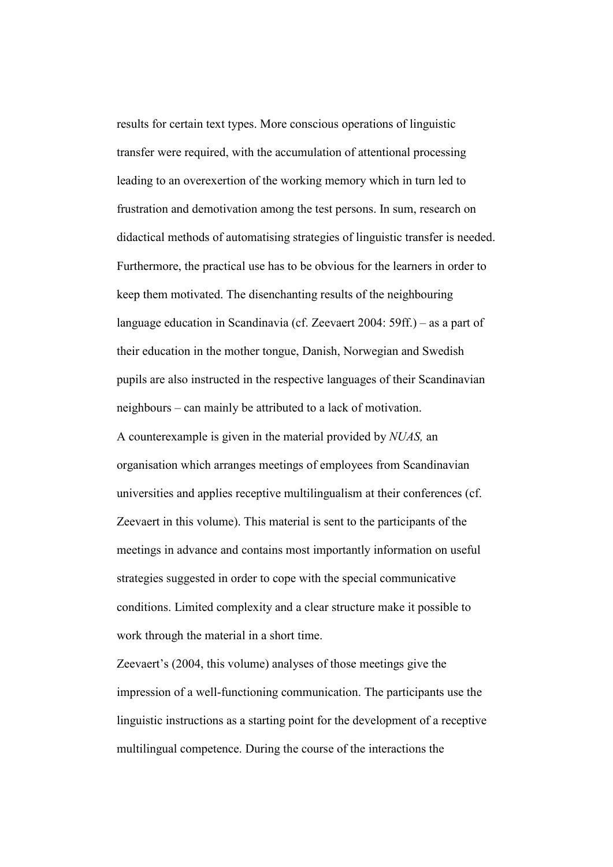results for certain text types. More conscious operations of linguistic transfer were required, with the accumulation of attentional processing leading to an overexertion of the working memory which in turn led to frustration and demotivation among the test persons. In sum, research on didactical methods of automatising strategies of linguistic transfer is needed. Furthermore, the practical use has to be obvious for the learners in order to keep them motivated. The disenchanting results of the neighbouring language education in Scandinavia (cf. Zeevaert 2004: 59ff.) – as a part of their education in the mother tongue, Danish, Norwegian and Swedish pupils are also instructed in the respective languages of their Scandinavian neighbours – can mainly be attributed to a lack of motivation. A counterexample is given in the material provided by NUAS, an organisation which arranges meetings of employees from Scandinavian universities and applies receptive multilingualism at their conferences (cf. Zeevaert in this volume). This material is sent to the participants of the meetings in advance and contains most importantly information on useful strategies suggested in order to cope with the special communicative conditions. Limited complexity and a clear structure make it possible to work through the material in a short time.

Zeevaert's (2004, this volume) analyses of those meetings give the impression of a well-functioning communication. The participants use the linguistic instructions as a starting point for the development of a receptive multilingual competence. During the course of the interactions the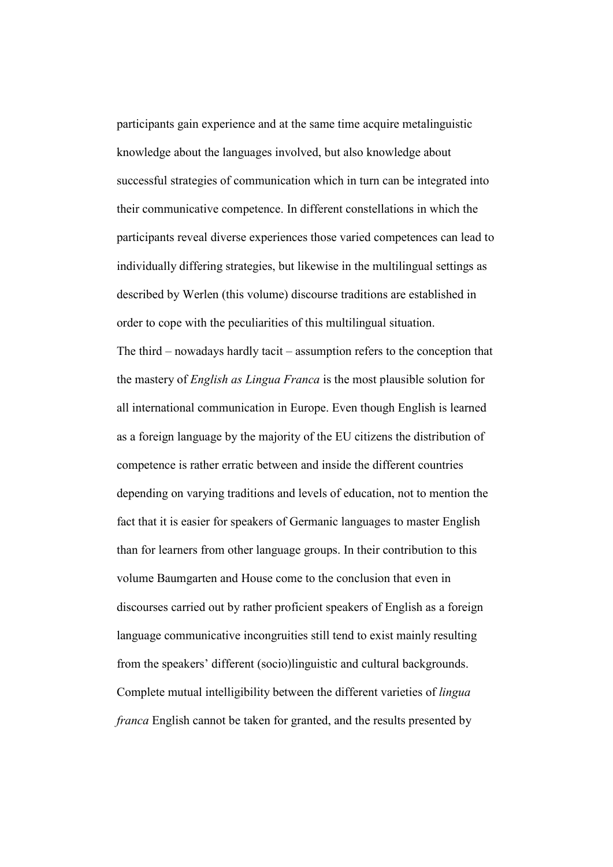participants gain experience and at the same time acquire metalinguistic knowledge about the languages involved, but also knowledge about successful strategies of communication which in turn can be integrated into their communicative competence. In different constellations in which the participants reveal diverse experiences those varied competences can lead to individually differing strategies, but likewise in the multilingual settings as described by Werlen (this volume) discourse traditions are established in order to cope with the peculiarities of this multilingual situation.

The third – nowadays hardly tacit – assumption refers to the conception that the mastery of English as Lingua Franca is the most plausible solution for all international communication in Europe. Even though English is learned as a foreign language by the majority of the EU citizens the distribution of competence is rather erratic between and inside the different countries depending on varying traditions and levels of education, not to mention the fact that it is easier for speakers of Germanic languages to master English than for learners from other language groups. In their contribution to this volume Baumgarten and House come to the conclusion that even in discourses carried out by rather proficient speakers of English as a foreign language communicative incongruities still tend to exist mainly resulting from the speakers' different (socio)linguistic and cultural backgrounds. Complete mutual intelligibility between the different varieties of lingua franca English cannot be taken for granted, and the results presented by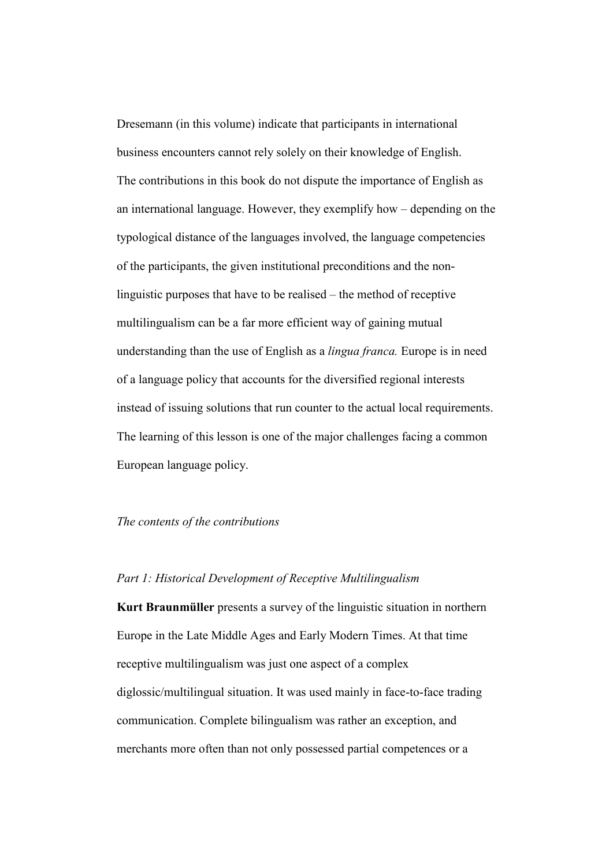Dresemann (in this volume) indicate that participants in international business encounters cannot rely solely on their knowledge of English. The contributions in this book do not dispute the importance of English as an international language. However, they exemplify how – depending on the typological distance of the languages involved, the language competencies of the participants, the given institutional preconditions and the nonlinguistic purposes that have to be realised – the method of receptive multilingualism can be a far more efficient way of gaining mutual understanding than the use of English as a *lingua franca*. Europe is in need of a language policy that accounts for the diversified regional interests instead of issuing solutions that run counter to the actual local requirements. The learning of this lesson is one of the major challenges facing a common European language policy.

# The contents of the contributions

#### Part 1: Historical Development of Receptive Multilingualism

Kurt Braunmüller presents a survey of the linguistic situation in northern Europe in the Late Middle Ages and Early Modern Times. At that time receptive multilingualism was just one aspect of a complex diglossic/multilingual situation. It was used mainly in face-to-face trading communication. Complete bilingualism was rather an exception, and merchants more often than not only possessed partial competences or a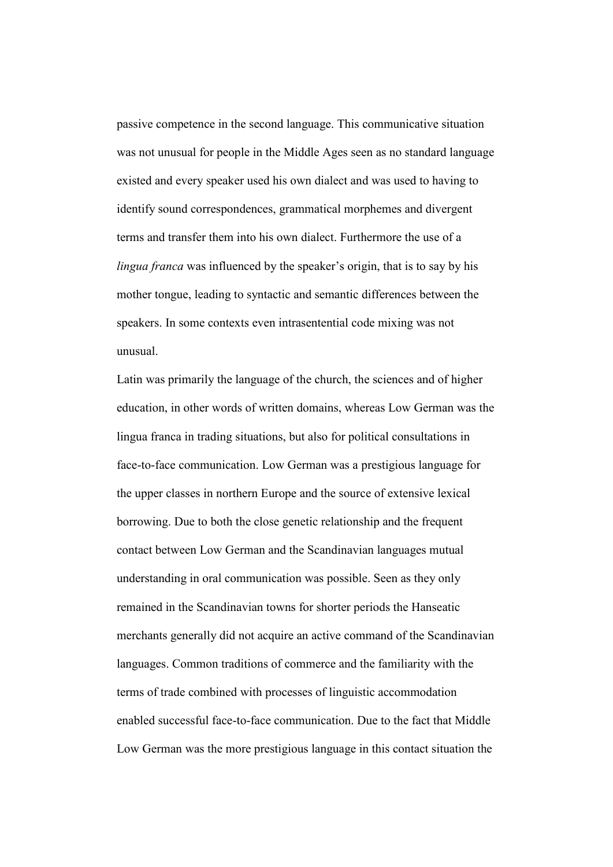passive competence in the second language. This communicative situation was not unusual for people in the Middle Ages seen as no standard language existed and every speaker used his own dialect and was used to having to identify sound correspondences, grammatical morphemes and divergent terms and transfer them into his own dialect. Furthermore the use of a lingua franca was influenced by the speaker's origin, that is to say by his mother tongue, leading to syntactic and semantic differences between the speakers. In some contexts even intrasentential code mixing was not unusual.

Latin was primarily the language of the church, the sciences and of higher education, in other words of written domains, whereas Low German was the lingua franca in trading situations, but also for political consultations in face-to-face communication. Low German was a prestigious language for the upper classes in northern Europe and the source of extensive lexical borrowing. Due to both the close genetic relationship and the frequent contact between Low German and the Scandinavian languages mutual understanding in oral communication was possible. Seen as they only remained in the Scandinavian towns for shorter periods the Hanseatic merchants generally did not acquire an active command of the Scandinavian languages. Common traditions of commerce and the familiarity with the terms of trade combined with processes of linguistic accommodation enabled successful face-to-face communication. Due to the fact that Middle Low German was the more prestigious language in this contact situation the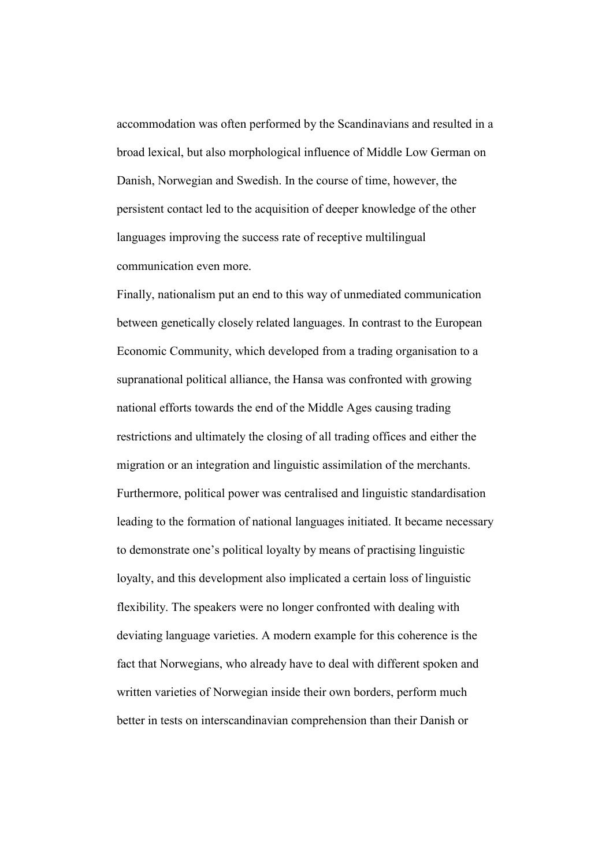accommodation was often performed by the Scandinavians and resulted in a broad lexical, but also morphological influence of Middle Low German on Danish, Norwegian and Swedish. In the course of time, however, the persistent contact led to the acquisition of deeper knowledge of the other languages improving the success rate of receptive multilingual communication even more.

Finally, nationalism put an end to this way of unmediated communication between genetically closely related languages. In contrast to the European Economic Community, which developed from a trading organisation to a supranational political alliance, the Hansa was confronted with growing national efforts towards the end of the Middle Ages causing trading restrictions and ultimately the closing of all trading offices and either the migration or an integration and linguistic assimilation of the merchants. Furthermore, political power was centralised and linguistic standardisation leading to the formation of national languages initiated. It became necessary to demonstrate one's political loyalty by means of practising linguistic loyalty, and this development also implicated a certain loss of linguistic flexibility. The speakers were no longer confronted with dealing with deviating language varieties. A modern example for this coherence is the fact that Norwegians, who already have to deal with different spoken and written varieties of Norwegian inside their own borders, perform much better in tests on interscandinavian comprehension than their Danish or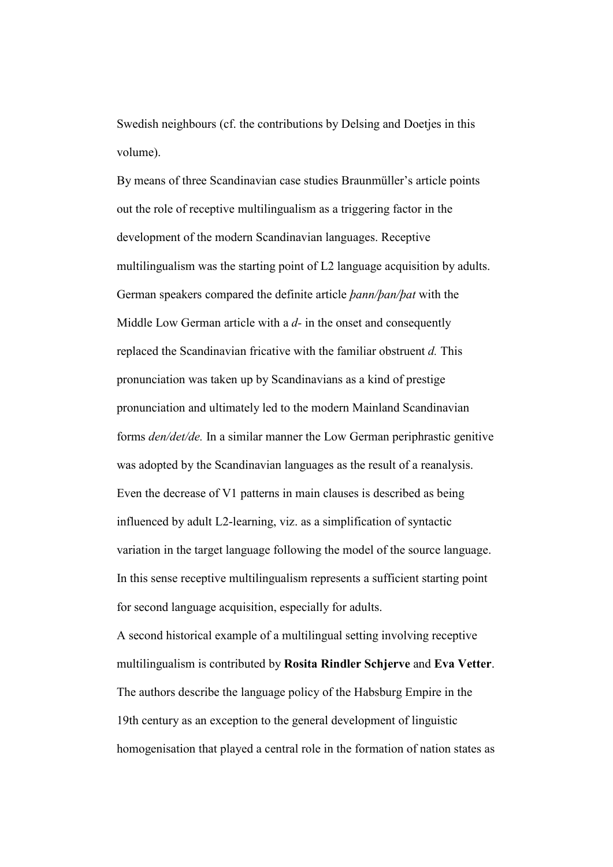Swedish neighbours (cf. the contributions by Delsing and Doetjes in this volume).

By means of three Scandinavian case studies Braunmüller's article points out the role of receptive multilingualism as a triggering factor in the development of the modern Scandinavian languages. Receptive multilingualism was the starting point of L2 language acquisition by adults. German speakers compared the definite article þann/þan/þat with the Middle Low German article with a  $d$ - in the onset and consequently replaced the Scandinavian fricative with the familiar obstruent d. This pronunciation was taken up by Scandinavians as a kind of prestige pronunciation and ultimately led to the modern Mainland Scandinavian forms den/det/de. In a similar manner the Low German periphrastic genitive was adopted by the Scandinavian languages as the result of a reanalysis. Even the decrease of V1 patterns in main clauses is described as being influenced by adult L2-learning, viz. as a simplification of syntactic variation in the target language following the model of the source language. In this sense receptive multilingualism represents a sufficient starting point for second language acquisition, especially for adults.

A second historical example of a multilingual setting involving receptive multilingualism is contributed by Rosita Rindler Schjerve and Eva Vetter. The authors describe the language policy of the Habsburg Empire in the 19th century as an exception to the general development of linguistic homogenisation that played a central role in the formation of nation states as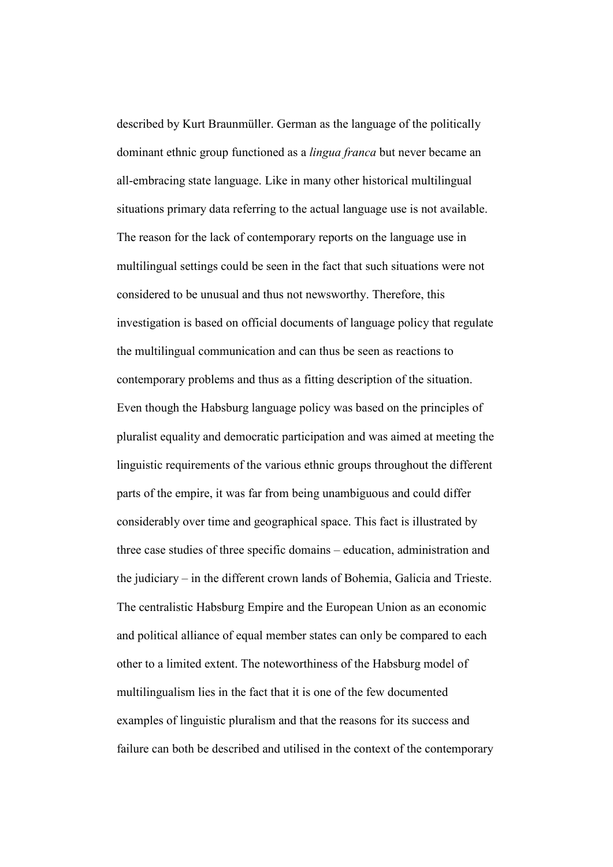described by Kurt Braunmüller. German as the language of the politically dominant ethnic group functioned as a lingua franca but never became an all-embracing state language. Like in many other historical multilingual situations primary data referring to the actual language use is not available. The reason for the lack of contemporary reports on the language use in multilingual settings could be seen in the fact that such situations were not considered to be unusual and thus not newsworthy. Therefore, this investigation is based on official documents of language policy that regulate the multilingual communication and can thus be seen as reactions to contemporary problems and thus as a fitting description of the situation. Even though the Habsburg language policy was based on the principles of pluralist equality and democratic participation and was aimed at meeting the linguistic requirements of the various ethnic groups throughout the different parts of the empire, it was far from being unambiguous and could differ considerably over time and geographical space. This fact is illustrated by three case studies of three specific domains – education, administration and the judiciary – in the different crown lands of Bohemia, Galicia and Trieste. The centralistic Habsburg Empire and the European Union as an economic and political alliance of equal member states can only be compared to each other to a limited extent. The noteworthiness of the Habsburg model of multilingualism lies in the fact that it is one of the few documented examples of linguistic pluralism and that the reasons for its success and failure can both be described and utilised in the context of the contemporary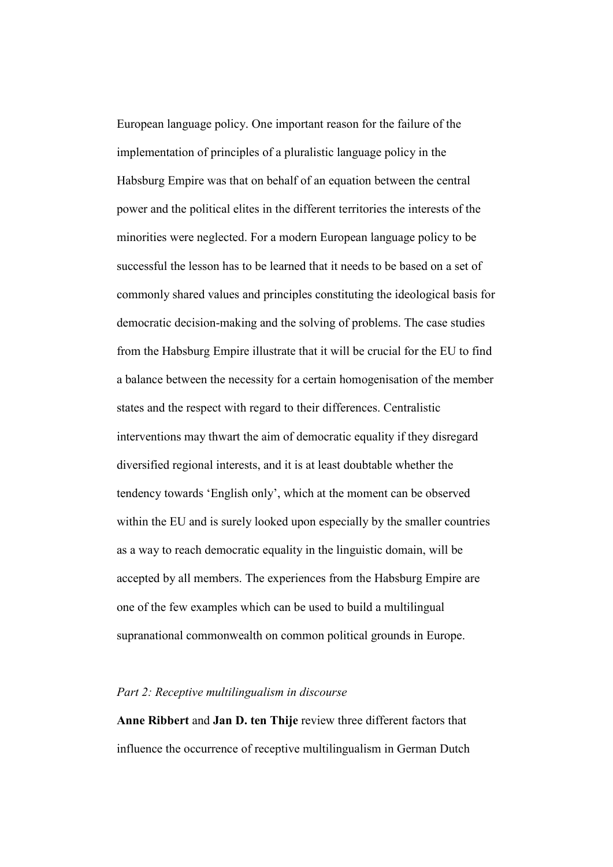European language policy. One important reason for the failure of the implementation of principles of a pluralistic language policy in the Habsburg Empire was that on behalf of an equation between the central power and the political elites in the different territories the interests of the minorities were neglected. For a modern European language policy to be successful the lesson has to be learned that it needs to be based on a set of commonly shared values and principles constituting the ideological basis for democratic decision-making and the solving of problems. The case studies from the Habsburg Empire illustrate that it will be crucial for the EU to find a balance between the necessity for a certain homogenisation of the member states and the respect with regard to their differences. Centralistic interventions may thwart the aim of democratic equality if they disregard diversified regional interests, and it is at least doubtable whether the tendency towards 'English only', which at the moment can be observed within the EU and is surely looked upon especially by the smaller countries as a way to reach democratic equality in the linguistic domain, will be accepted by all members. The experiences from the Habsburg Empire are one of the few examples which can be used to build a multilingual supranational commonwealth on common political grounds in Europe.

## Part 2: Receptive multilingualism in discourse

Anne Ribbert and Jan D. ten Thije review three different factors that influence the occurrence of receptive multilingualism in German Dutch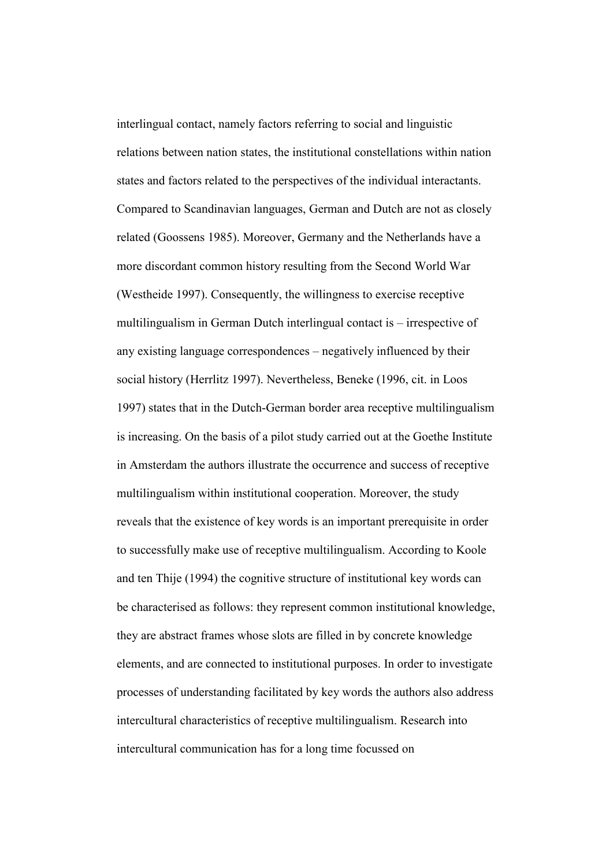interlingual contact, namely factors referring to social and linguistic relations between nation states, the institutional constellations within nation states and factors related to the perspectives of the individual interactants. Compared to Scandinavian languages, German and Dutch are not as closely related (Goossens 1985). Moreover, Germany and the Netherlands have a more discordant common history resulting from the Second World War (Westheide 1997). Consequently, the willingness to exercise receptive multilingualism in German Dutch interlingual contact is – irrespective of any existing language correspondences – negatively influenced by their social history (Herrlitz 1997). Nevertheless, Beneke (1996, cit. in Loos 1997) states that in the Dutch-German border area receptive multilingualism is increasing. On the basis of a pilot study carried out at the Goethe Institute in Amsterdam the authors illustrate the occurrence and success of receptive multilingualism within institutional cooperation. Moreover, the study reveals that the existence of key words is an important prerequisite in order to successfully make use of receptive multilingualism. According to Koole and ten Thije (1994) the cognitive structure of institutional key words can be characterised as follows: they represent common institutional knowledge, they are abstract frames whose slots are filled in by concrete knowledge elements, and are connected to institutional purposes. In order to investigate processes of understanding facilitated by key words the authors also address intercultural characteristics of receptive multilingualism. Research into intercultural communication has for a long time focussed on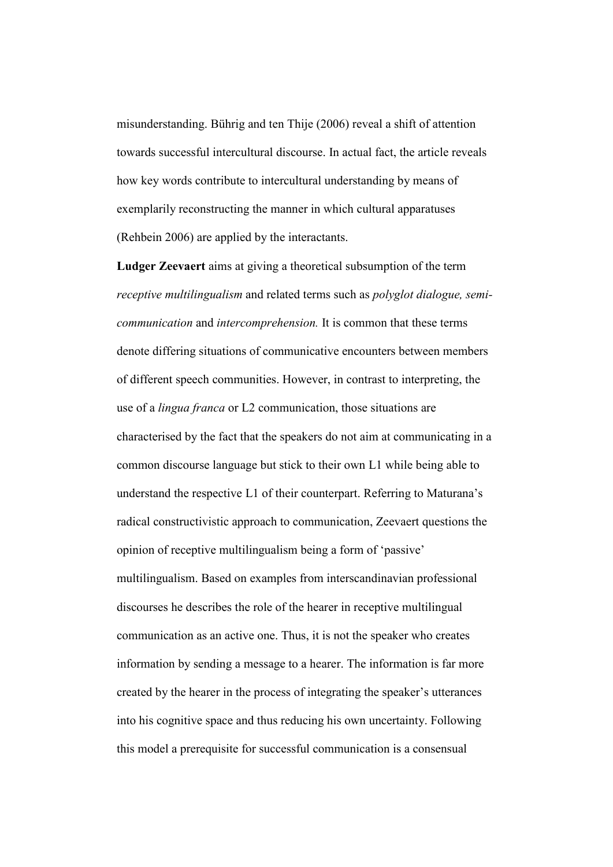misunderstanding. Bührig and ten Thije (2006) reveal a shift of attention towards successful intercultural discourse. In actual fact, the article reveals how key words contribute to intercultural understanding by means of exemplarily reconstructing the manner in which cultural apparatuses (Rehbein 2006) are applied by the interactants.

Ludger Zeevaert aims at giving a theoretical subsumption of the term receptive multilingualism and related terms such as polyglot dialogue, semicommunication and intercomprehension. It is common that these terms denote differing situations of communicative encounters between members of different speech communities. However, in contrast to interpreting, the use of a lingua franca or L2 communication, those situations are characterised by the fact that the speakers do not aim at communicating in a common discourse language but stick to their own L1 while being able to understand the respective L1 of their counterpart. Referring to Maturana's radical constructivistic approach to communication, Zeevaert questions the opinion of receptive multilingualism being a form of 'passive' multilingualism. Based on examples from interscandinavian professional discourses he describes the role of the hearer in receptive multilingual communication as an active one. Thus, it is not the speaker who creates information by sending a message to a hearer. The information is far more created by the hearer in the process of integrating the speaker's utterances into his cognitive space and thus reducing his own uncertainty. Following this model a prerequisite for successful communication is a consensual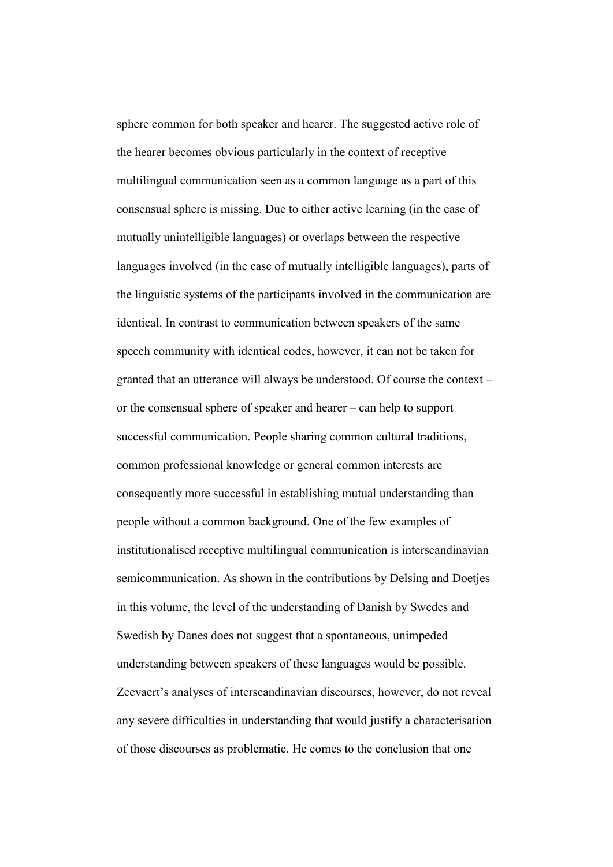sphere common for both speaker and hearer. The suggested active role of the hearer becomes obvious particularly in the context of receptive multilingual communication seen as a common language as a part of this consensual sphere is missing. Due to either active learning (in the case of mutually unintelligible languages) or overlaps between the respective languages involved (in the case of mutually intelligible languages), parts of the linguistic systems of the participants involved in the communication are identical. In contrast to communication between speakers of the same speech community with identical codes, however, it can not be taken for granted that an utterance will always be understood. Of course the context – or the consensual sphere of speaker and hearer – can help to support successful communication. People sharing common cultural traditions, common professional knowledge or general common interests are consequently more successful in establishing mutual understanding than people without a common background. One of the few examples of institutionalised receptive multilingual communication is interscandinavian semicommunication. As shown in the contributions by Delsing and Doetjes in this volume, the level of the understanding of Danish by Swedes and Swedish by Danes does not suggest that a spontaneous, unimpeded understanding between speakers of these languages would be possible. Zeevaert's analyses of interscandinavian discourses, however, do not reveal any severe difficulties in understanding that would justify a characterisation of those discourses as problematic. He comes to the conclusion that one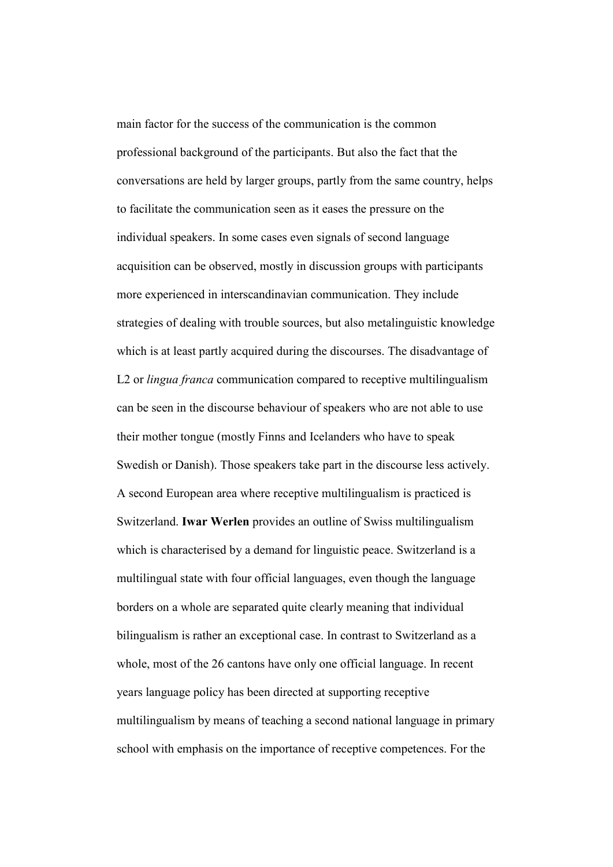main factor for the success of the communication is the common professional background of the participants. But also the fact that the conversations are held by larger groups, partly from the same country, helps to facilitate the communication seen as it eases the pressure on the individual speakers. In some cases even signals of second language acquisition can be observed, mostly in discussion groups with participants more experienced in interscandinavian communication. They include strategies of dealing with trouble sources, but also metalinguistic knowledge which is at least partly acquired during the discourses. The disadvantage of L2 or *lingua franca* communication compared to receptive multilingualism can be seen in the discourse behaviour of speakers who are not able to use their mother tongue (mostly Finns and Icelanders who have to speak Swedish or Danish). Those speakers take part in the discourse less actively. A second European area where receptive multilingualism is practiced is Switzerland. Iwar Werlen provides an outline of Swiss multilingualism which is characterised by a demand for linguistic peace. Switzerland is a multilingual state with four official languages, even though the language borders on a whole are separated quite clearly meaning that individual bilingualism is rather an exceptional case. In contrast to Switzerland as a whole, most of the 26 cantons have only one official language. In recent years language policy has been directed at supporting receptive multilingualism by means of teaching a second national language in primary school with emphasis on the importance of receptive competences. For the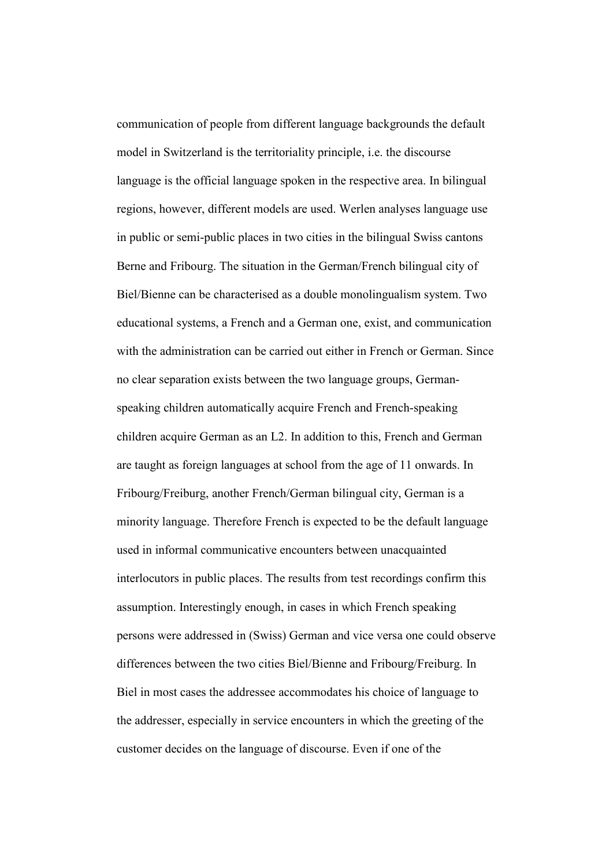communication of people from different language backgrounds the default model in Switzerland is the territoriality principle, i.e. the discourse language is the official language spoken in the respective area. In bilingual regions, however, different models are used. Werlen analyses language use in public or semi-public places in two cities in the bilingual Swiss cantons Berne and Fribourg. The situation in the German/French bilingual city of Biel/Bienne can be characterised as a double monolingualism system. Two educational systems, a French and a German one, exist, and communication with the administration can be carried out either in French or German. Since no clear separation exists between the two language groups, Germanspeaking children automatically acquire French and French-speaking children acquire German as an L2. In addition to this, French and German are taught as foreign languages at school from the age of 11 onwards. In Fribourg/Freiburg, another French/German bilingual city, German is a minority language. Therefore French is expected to be the default language used in informal communicative encounters between unacquainted interlocutors in public places. The results from test recordings confirm this assumption. Interestingly enough, in cases in which French speaking persons were addressed in (Swiss) German and vice versa one could observe differences between the two cities Biel/Bienne and Fribourg/Freiburg. In Biel in most cases the addressee accommodates his choice of language to the addresser, especially in service encounters in which the greeting of the customer decides on the language of discourse. Even if one of the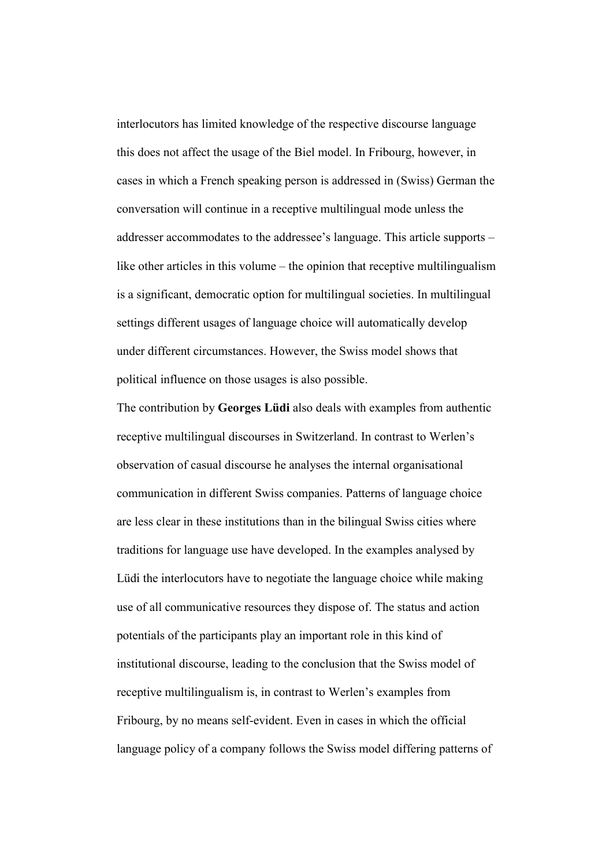interlocutors has limited knowledge of the respective discourse language this does not affect the usage of the Biel model. In Fribourg, however, in cases in which a French speaking person is addressed in (Swiss) German the conversation will continue in a receptive multilingual mode unless the addresser accommodates to the addressee's language. This article supports – like other articles in this volume – the opinion that receptive multilingualism is a significant, democratic option for multilingual societies. In multilingual settings different usages of language choice will automatically develop under different circumstances. However, the Swiss model shows that political influence on those usages is also possible.

The contribution by Georges Lüdi also deals with examples from authentic receptive multilingual discourses in Switzerland. In contrast to Werlen's observation of casual discourse he analyses the internal organisational communication in different Swiss companies. Patterns of language choice are less clear in these institutions than in the bilingual Swiss cities where traditions for language use have developed. In the examples analysed by Lüdi the interlocutors have to negotiate the language choice while making use of all communicative resources they dispose of. The status and action potentials of the participants play an important role in this kind of institutional discourse, leading to the conclusion that the Swiss model of receptive multilingualism is, in contrast to Werlen's examples from Fribourg, by no means self-evident. Even in cases in which the official language policy of a company follows the Swiss model differing patterns of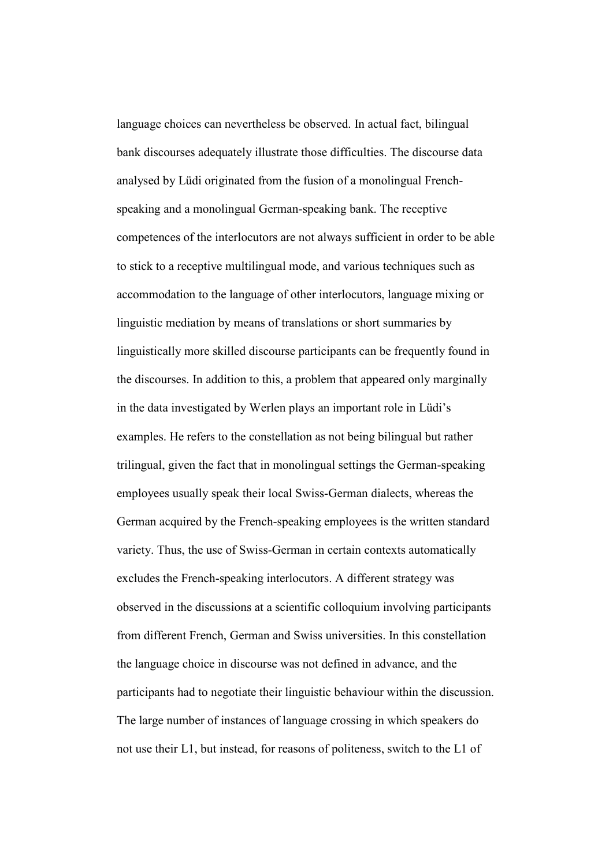language choices can nevertheless be observed. In actual fact, bilingual bank discourses adequately illustrate those difficulties. The discourse data analysed by Lüdi originated from the fusion of a monolingual Frenchspeaking and a monolingual German-speaking bank. The receptive competences of the interlocutors are not always sufficient in order to be able to stick to a receptive multilingual mode, and various techniques such as accommodation to the language of other interlocutors, language mixing or linguistic mediation by means of translations or short summaries by linguistically more skilled discourse participants can be frequently found in the discourses. In addition to this, a problem that appeared only marginally in the data investigated by Werlen plays an important role in Lüdi's examples. He refers to the constellation as not being bilingual but rather trilingual, given the fact that in monolingual settings the German-speaking employees usually speak their local Swiss-German dialects, whereas the German acquired by the French-speaking employees is the written standard variety. Thus, the use of Swiss-German in certain contexts automatically excludes the French-speaking interlocutors. A different strategy was observed in the discussions at a scientific colloquium involving participants from different French, German and Swiss universities. In this constellation the language choice in discourse was not defined in advance, and the participants had to negotiate their linguistic behaviour within the discussion. The large number of instances of language crossing in which speakers do not use their L1, but instead, for reasons of politeness, switch to the L1 of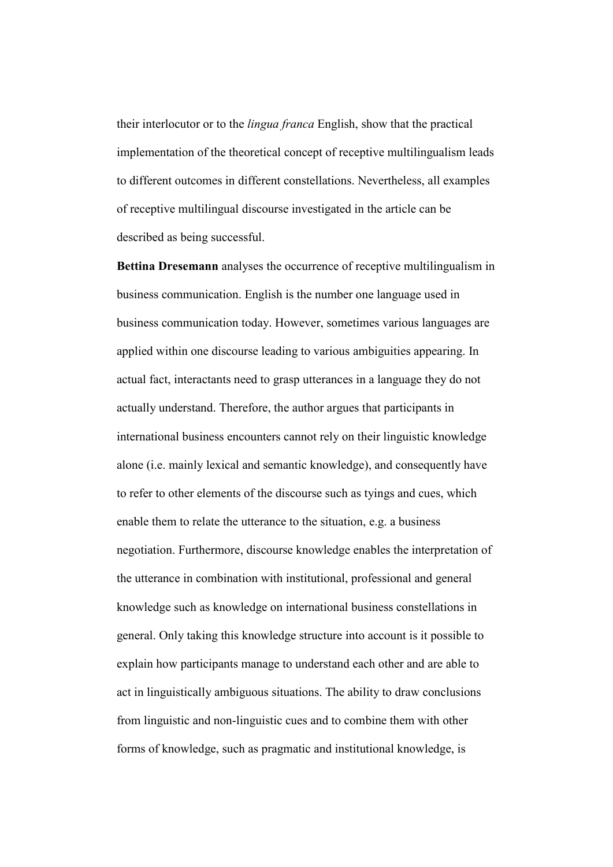their interlocutor or to the lingua franca English, show that the practical implementation of the theoretical concept of receptive multilingualism leads to different outcomes in different constellations. Nevertheless, all examples of receptive multilingual discourse investigated in the article can be described as being successful.

Bettina Dresemann analyses the occurrence of receptive multilingualism in business communication. English is the number one language used in business communication today. However, sometimes various languages are applied within one discourse leading to various ambiguities appearing. In actual fact, interactants need to grasp utterances in a language they do not actually understand. Therefore, the author argues that participants in international business encounters cannot rely on their linguistic knowledge alone (i.e. mainly lexical and semantic knowledge), and consequently have to refer to other elements of the discourse such as tyings and cues, which enable them to relate the utterance to the situation, e.g. a business negotiation. Furthermore, discourse knowledge enables the interpretation of the utterance in combination with institutional, professional and general knowledge such as knowledge on international business constellations in general. Only taking this knowledge structure into account is it possible to explain how participants manage to understand each other and are able to act in linguistically ambiguous situations. The ability to draw conclusions from linguistic and non-linguistic cues and to combine them with other forms of knowledge, such as pragmatic and institutional knowledge, is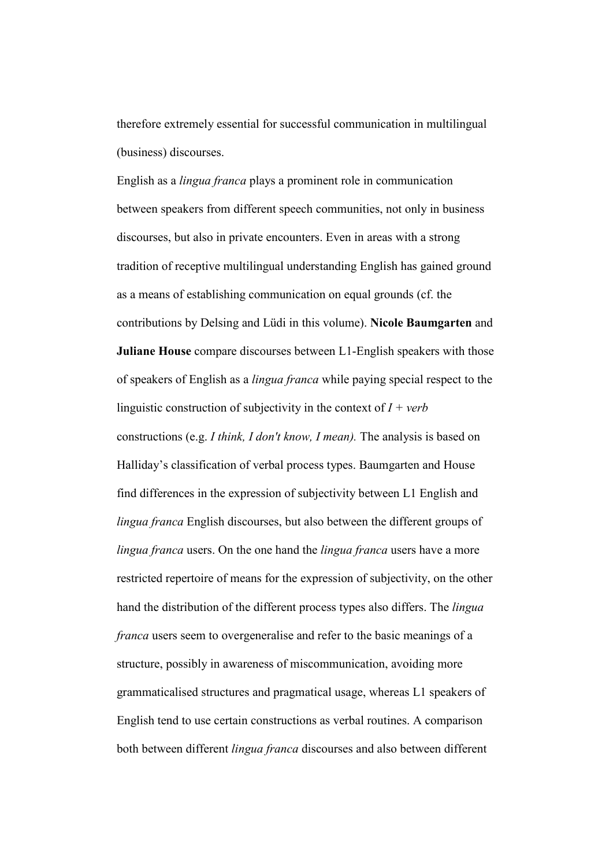therefore extremely essential for successful communication in multilingual (business) discourses.

English as a lingua franca plays a prominent role in communication between speakers from different speech communities, not only in business discourses, but also in private encounters. Even in areas with a strong tradition of receptive multilingual understanding English has gained ground as a means of establishing communication on equal grounds (cf. the contributions by Delsing and Lüdi in this volume). Nicole Baumgarten and Juliane House compare discourses between L1-English speakers with those of speakers of English as a lingua franca while paying special respect to the linguistic construction of subjectivity in the context of  $I + verb$ constructions (e.g. I think, I don't know, I mean). The analysis is based on Halliday's classification of verbal process types. Baumgarten and House find differences in the expression of subjectivity between L1 English and lingua franca English discourses, but also between the different groups of lingua franca users. On the one hand the *lingua franca* users have a more restricted repertoire of means for the expression of subjectivity, on the other hand the distribution of the different process types also differs. The *lingua* franca users seem to overgeneralise and refer to the basic meanings of a structure, possibly in awareness of miscommunication, avoiding more grammaticalised structures and pragmatical usage, whereas L1 speakers of English tend to use certain constructions as verbal routines. A comparison both between different lingua franca discourses and also between different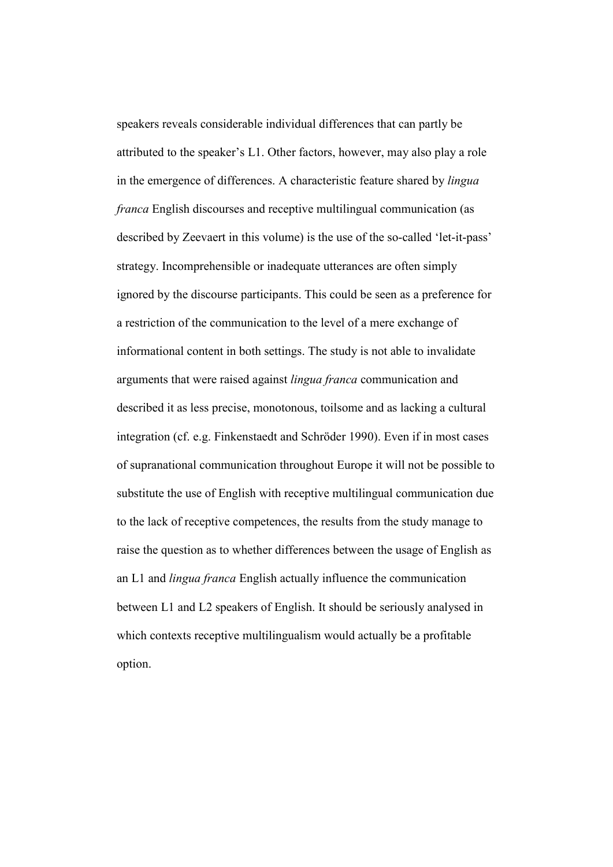speakers reveals considerable individual differences that can partly be attributed to the speaker's L1. Other factors, however, may also play a role in the emergence of differences. A characteristic feature shared by lingua franca English discourses and receptive multilingual communication (as described by Zeevaert in this volume) is the use of the so-called 'let-it-pass' strategy. Incomprehensible or inadequate utterances are often simply ignored by the discourse participants. This could be seen as a preference for a restriction of the communication to the level of a mere exchange of informational content in both settings. The study is not able to invalidate arguments that were raised against lingua franca communication and described it as less precise, monotonous, toilsome and as lacking a cultural integration (cf. e.g. Finkenstaedt and Schröder 1990). Even if in most cases of supranational communication throughout Europe it will not be possible to substitute the use of English with receptive multilingual communication due to the lack of receptive competences, the results from the study manage to raise the question as to whether differences between the usage of English as an L1 and lingua franca English actually influence the communication between L1 and L2 speakers of English. It should be seriously analysed in which contexts receptive multilingualism would actually be a profitable option.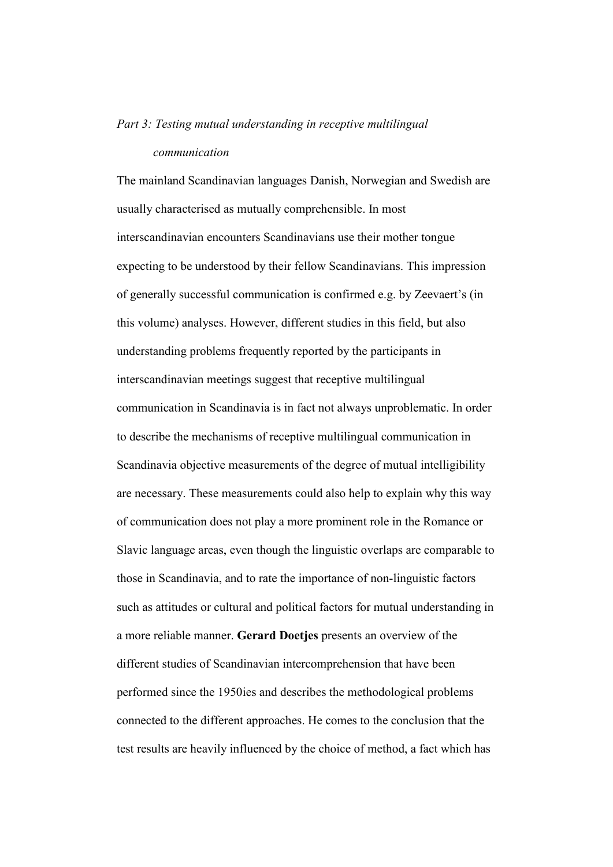# Part 3: Testing mutual understanding in receptive multilingual communication

The mainland Scandinavian languages Danish, Norwegian and Swedish are usually characterised as mutually comprehensible. In most interscandinavian encounters Scandinavians use their mother tongue expecting to be understood by their fellow Scandinavians. This impression of generally successful communication is confirmed e.g. by Zeevaert's (in this volume) analyses. However, different studies in this field, but also understanding problems frequently reported by the participants in interscandinavian meetings suggest that receptive multilingual communication in Scandinavia is in fact not always unproblematic. In order to describe the mechanisms of receptive multilingual communication in Scandinavia objective measurements of the degree of mutual intelligibility are necessary. These measurements could also help to explain why this way of communication does not play a more prominent role in the Romance or Slavic language areas, even though the linguistic overlaps are comparable to those in Scandinavia, and to rate the importance of non-linguistic factors such as attitudes or cultural and political factors for mutual understanding in a more reliable manner. Gerard Doetjes presents an overview of the different studies of Scandinavian intercomprehension that have been performed since the 1950ies and describes the methodological problems connected to the different approaches. He comes to the conclusion that the test results are heavily influenced by the choice of method, a fact which has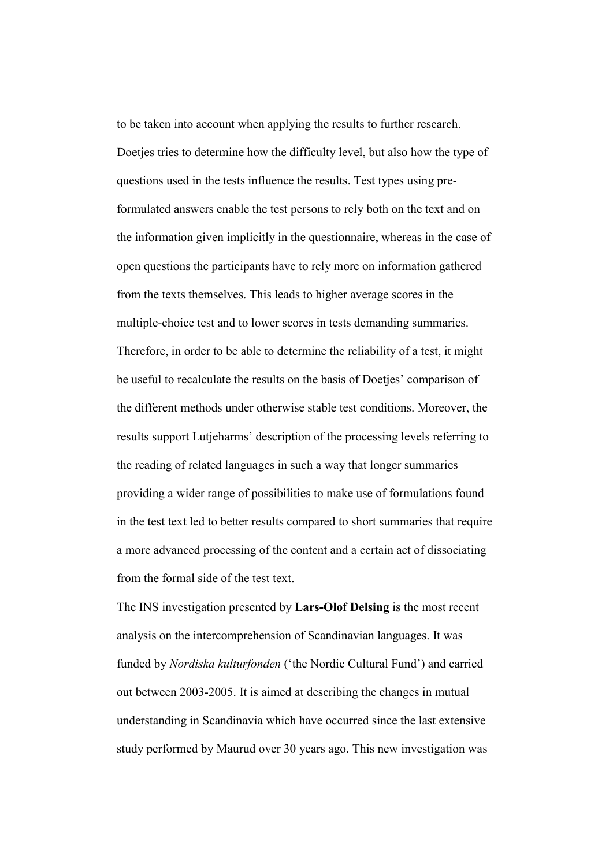to be taken into account when applying the results to further research. Doetjes tries to determine how the difficulty level, but also how the type of questions used in the tests influence the results. Test types using preformulated answers enable the test persons to rely both on the text and on the information given implicitly in the questionnaire, whereas in the case of open questions the participants have to rely more on information gathered from the texts themselves. This leads to higher average scores in the multiple-choice test and to lower scores in tests demanding summaries. Therefore, in order to be able to determine the reliability of a test, it might be useful to recalculate the results on the basis of Doetjes' comparison of the different methods under otherwise stable test conditions. Moreover, the results support Lutjeharms' description of the processing levels referring to the reading of related languages in such a way that longer summaries providing a wider range of possibilities to make use of formulations found in the test text led to better results compared to short summaries that require a more advanced processing of the content and a certain act of dissociating from the formal side of the test text.

The INS investigation presented by Lars-Olof Delsing is the most recent analysis on the intercomprehension of Scandinavian languages. It was funded by Nordiska kulturfonden ('the Nordic Cultural Fund') and carried out between 2003-2005. It is aimed at describing the changes in mutual understanding in Scandinavia which have occurred since the last extensive study performed by Maurud over 30 years ago. This new investigation was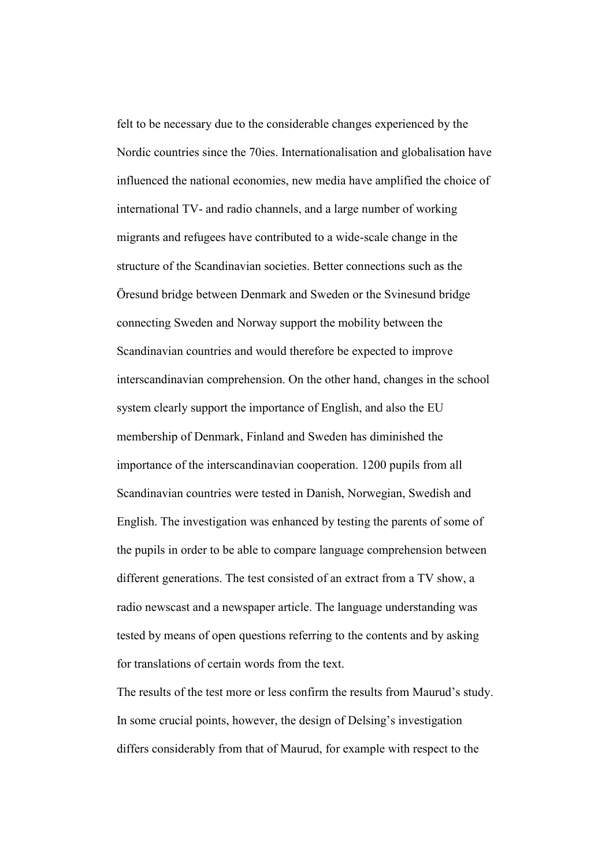felt to be necessary due to the considerable changes experienced by the Nordic countries since the 70ies. Internationalisation and globalisation have influenced the national economies, new media have amplified the choice of international TV- and radio channels, and a large number of working migrants and refugees have contributed to a wide-scale change in the structure of the Scandinavian societies. Better connections such as the Öresund bridge between Denmark and Sweden or the Svinesund bridge connecting Sweden and Norway support the mobility between the Scandinavian countries and would therefore be expected to improve interscandinavian comprehension. On the other hand, changes in the school system clearly support the importance of English, and also the EU membership of Denmark, Finland and Sweden has diminished the importance of the interscandinavian cooperation. 1200 pupils from all Scandinavian countries were tested in Danish, Norwegian, Swedish and English. The investigation was enhanced by testing the parents of some of the pupils in order to be able to compare language comprehension between different generations. The test consisted of an extract from a TV show, a radio newscast and a newspaper article. The language understanding was tested by means of open questions referring to the contents and by asking for translations of certain words from the text.

The results of the test more or less confirm the results from Maurud's study. In some crucial points, however, the design of Delsing's investigation differs considerably from that of Maurud, for example with respect to the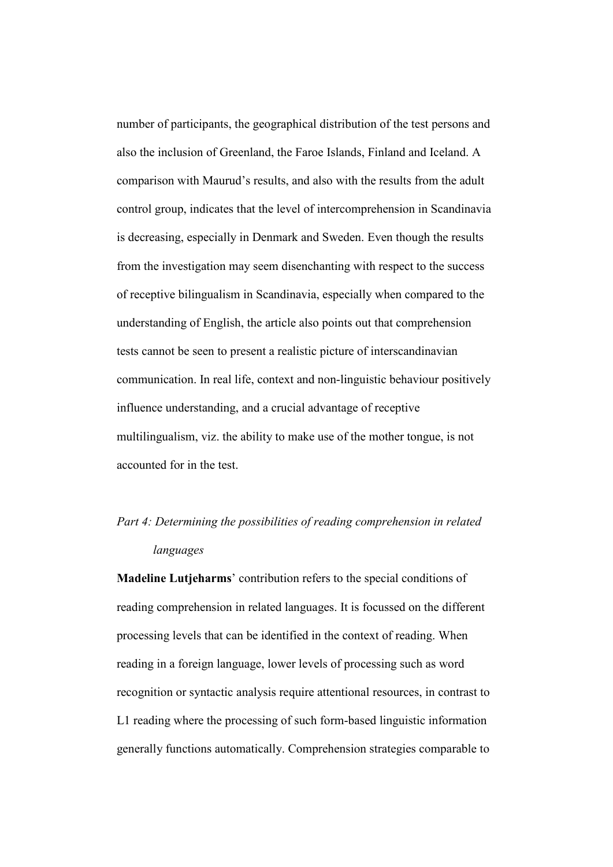number of participants, the geographical distribution of the test persons and also the inclusion of Greenland, the Faroe Islands, Finland and Iceland. A comparison with Maurud's results, and also with the results from the adult control group, indicates that the level of intercomprehension in Scandinavia is decreasing, especially in Denmark and Sweden. Even though the results from the investigation may seem disenchanting with respect to the success of receptive bilingualism in Scandinavia, especially when compared to the understanding of English, the article also points out that comprehension tests cannot be seen to present a realistic picture of interscandinavian communication. In real life, context and non-linguistic behaviour positively influence understanding, and a crucial advantage of receptive multilingualism, viz. the ability to make use of the mother tongue, is not accounted for in the test.

# Part 4: Determining the possibilities of reading comprehension in related languages

Madeline Lutjeharms' contribution refers to the special conditions of reading comprehension in related languages. It is focussed on the different processing levels that can be identified in the context of reading. When reading in a foreign language, lower levels of processing such as word recognition or syntactic analysis require attentional resources, in contrast to L1 reading where the processing of such form-based linguistic information generally functions automatically. Comprehension strategies comparable to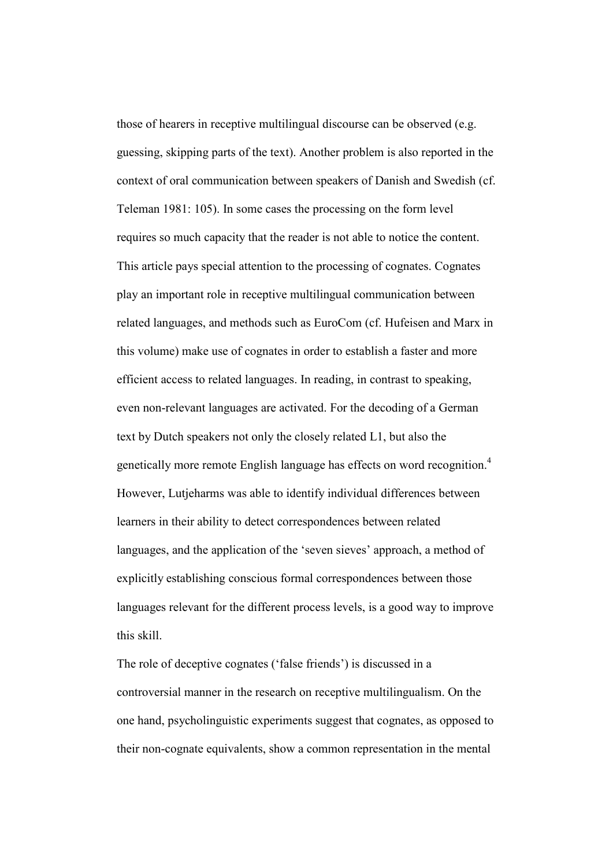those of hearers in receptive multilingual discourse can be observed (e.g. guessing, skipping parts of the text). Another problem is also reported in the context of oral communication between speakers of Danish and Swedish (cf. Teleman 1981: 105). In some cases the processing on the form level requires so much capacity that the reader is not able to notice the content. This article pays special attention to the processing of cognates. Cognates play an important role in receptive multilingual communication between related languages, and methods such as EuroCom (cf. Hufeisen and Marx in this volume) make use of cognates in order to establish a faster and more efficient access to related languages. In reading, in contrast to speaking, even non-relevant languages are activated. For the decoding of a German text by Dutch speakers not only the closely related L1, but also the genetically more remote English language has effects on word recognition.<sup>4</sup> However, Lutjeharms was able to identify individual differences between learners in their ability to detect correspondences between related languages, and the application of the 'seven sieves' approach, a method of explicitly establishing conscious formal correspondences between those languages relevant for the different process levels, is a good way to improve this skill.

The role of deceptive cognates ('false friends') is discussed in a controversial manner in the research on receptive multilingualism. On the one hand, psycholinguistic experiments suggest that cognates, as opposed to their non-cognate equivalents, show a common representation in the mental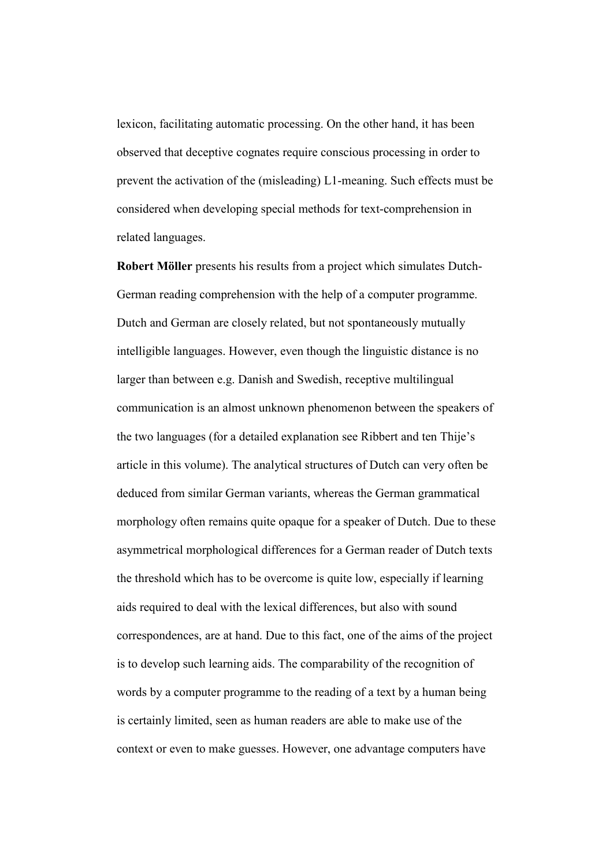lexicon, facilitating automatic processing. On the other hand, it has been observed that deceptive cognates require conscious processing in order to prevent the activation of the (misleading) L1-meaning. Such effects must be considered when developing special methods for text-comprehension in related languages.

Robert Möller presents his results from a project which simulates Dutch-German reading comprehension with the help of a computer programme. Dutch and German are closely related, but not spontaneously mutually intelligible languages. However, even though the linguistic distance is no larger than between e.g. Danish and Swedish, receptive multilingual communication is an almost unknown phenomenon between the speakers of the two languages (for a detailed explanation see Ribbert and ten Thije's article in this volume). The analytical structures of Dutch can very often be deduced from similar German variants, whereas the German grammatical morphology often remains quite opaque for a speaker of Dutch. Due to these asymmetrical morphological differences for a German reader of Dutch texts the threshold which has to be overcome is quite low, especially if learning aids required to deal with the lexical differences, but also with sound correspondences, are at hand. Due to this fact, one of the aims of the project is to develop such learning aids. The comparability of the recognition of words by a computer programme to the reading of a text by a human being is certainly limited, seen as human readers are able to make use of the context or even to make guesses. However, one advantage computers have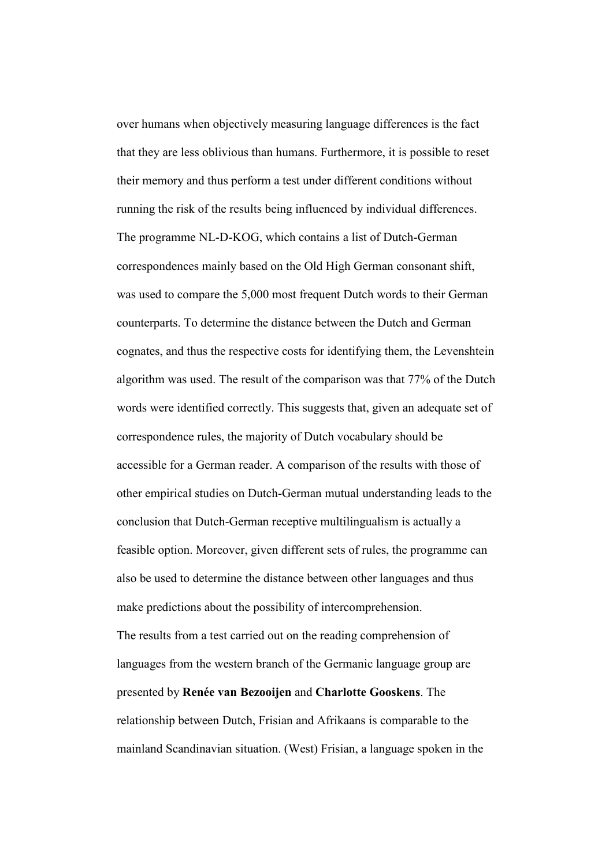over humans when objectively measuring language differences is the fact that they are less oblivious than humans. Furthermore, it is possible to reset their memory and thus perform a test under different conditions without running the risk of the results being influenced by individual differences. The programme NL-D-KOG, which contains a list of Dutch-German correspondences mainly based on the Old High German consonant shift, was used to compare the 5,000 most frequent Dutch words to their German counterparts. To determine the distance between the Dutch and German cognates, and thus the respective costs for identifying them, the Levenshtein algorithm was used. The result of the comparison was that 77% of the Dutch words were identified correctly. This suggests that, given an adequate set of correspondence rules, the majority of Dutch vocabulary should be accessible for a German reader. A comparison of the results with those of other empirical studies on Dutch-German mutual understanding leads to the conclusion that Dutch-German receptive multilingualism is actually a feasible option. Moreover, given different sets of rules, the programme can also be used to determine the distance between other languages and thus make predictions about the possibility of intercomprehension. The results from a test carried out on the reading comprehension of languages from the western branch of the Germanic language group are presented by Renée van Bezooijen and Charlotte Gooskens. The relationship between Dutch, Frisian and Afrikaans is comparable to the mainland Scandinavian situation. (West) Frisian, a language spoken in the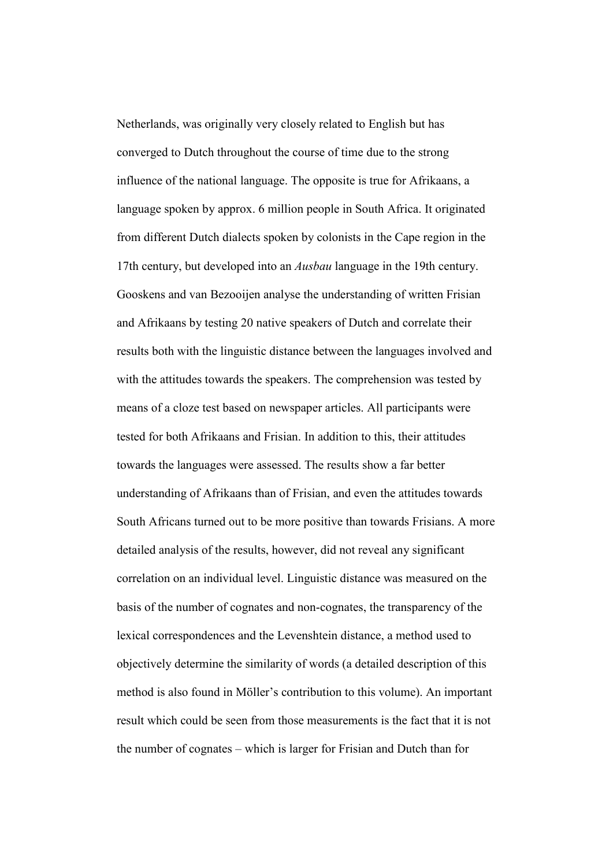Netherlands, was originally very closely related to English but has converged to Dutch throughout the course of time due to the strong influence of the national language. The opposite is true for Afrikaans, a language spoken by approx. 6 million people in South Africa. It originated from different Dutch dialects spoken by colonists in the Cape region in the 17th century, but developed into an Ausbau language in the 19th century. Gooskens and van Bezooijen analyse the understanding of written Frisian and Afrikaans by testing 20 native speakers of Dutch and correlate their results both with the linguistic distance between the languages involved and with the attitudes towards the speakers. The comprehension was tested by means of a cloze test based on newspaper articles. All participants were tested for both Afrikaans and Frisian. In addition to this, their attitudes towards the languages were assessed. The results show a far better understanding of Afrikaans than of Frisian, and even the attitudes towards South Africans turned out to be more positive than towards Frisians. A more detailed analysis of the results, however, did not reveal any significant correlation on an individual level. Linguistic distance was measured on the basis of the number of cognates and non-cognates, the transparency of the lexical correspondences and the Levenshtein distance, a method used to objectively determine the similarity of words (a detailed description of this method is also found in Möller's contribution to this volume). An important result which could be seen from those measurements is the fact that it is not the number of cognates – which is larger for Frisian and Dutch than for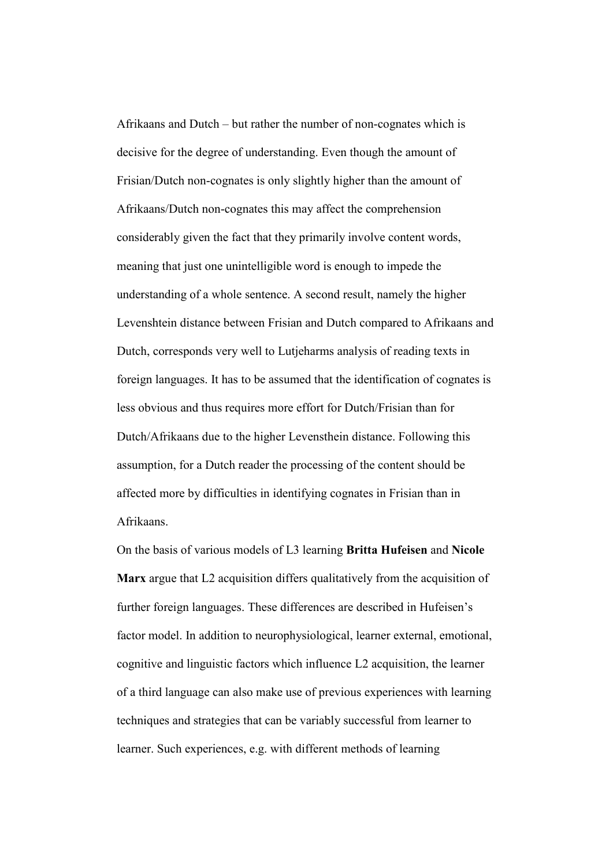Afrikaans and Dutch – but rather the number of non-cognates which is decisive for the degree of understanding. Even though the amount of Frisian/Dutch non-cognates is only slightly higher than the amount of Afrikaans/Dutch non-cognates this may affect the comprehension considerably given the fact that they primarily involve content words, meaning that just one unintelligible word is enough to impede the understanding of a whole sentence. A second result, namely the higher Levenshtein distance between Frisian and Dutch compared to Afrikaans and Dutch, corresponds very well to Lutjeharms analysis of reading texts in foreign languages. It has to be assumed that the identification of cognates is less obvious and thus requires more effort for Dutch/Frisian than for Dutch/Afrikaans due to the higher Levensthein distance. Following this assumption, for a Dutch reader the processing of the content should be affected more by difficulties in identifying cognates in Frisian than in Afrikaans.

On the basis of various models of L3 learning Britta Hufeisen and Nicole Marx argue that L2 acquisition differs qualitatively from the acquisition of further foreign languages. These differences are described in Hufeisen's factor model. In addition to neurophysiological, learner external, emotional, cognitive and linguistic factors which influence L2 acquisition, the learner of a third language can also make use of previous experiences with learning techniques and strategies that can be variably successful from learner to learner. Such experiences, e.g. with different methods of learning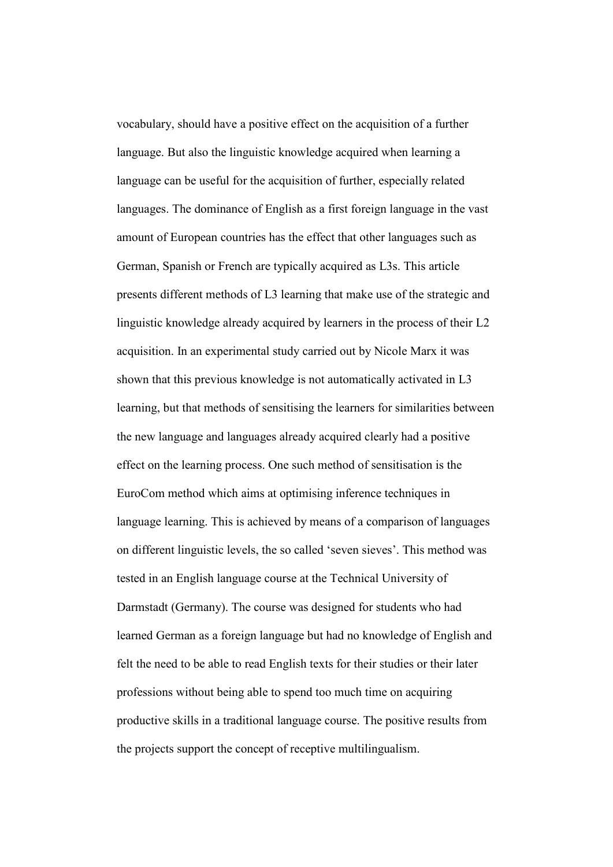vocabulary, should have a positive effect on the acquisition of a further language. But also the linguistic knowledge acquired when learning a language can be useful for the acquisition of further, especially related languages. The dominance of English as a first foreign language in the vast amount of European countries has the effect that other languages such as German, Spanish or French are typically acquired as L3s. This article presents different methods of L3 learning that make use of the strategic and linguistic knowledge already acquired by learners in the process of their L2 acquisition. In an experimental study carried out by Nicole Marx it was shown that this previous knowledge is not automatically activated in L3 learning, but that methods of sensitising the learners for similarities between the new language and languages already acquired clearly had a positive effect on the learning process. One such method of sensitisation is the EuroCom method which aims at optimising inference techniques in language learning. This is achieved by means of a comparison of languages on different linguistic levels, the so called 'seven sieves'. This method was tested in an English language course at the Technical University of Darmstadt (Germany). The course was designed for students who had learned German as a foreign language but had no knowledge of English and felt the need to be able to read English texts for their studies or their later professions without being able to spend too much time on acquiring productive skills in a traditional language course. The positive results from the projects support the concept of receptive multilingualism.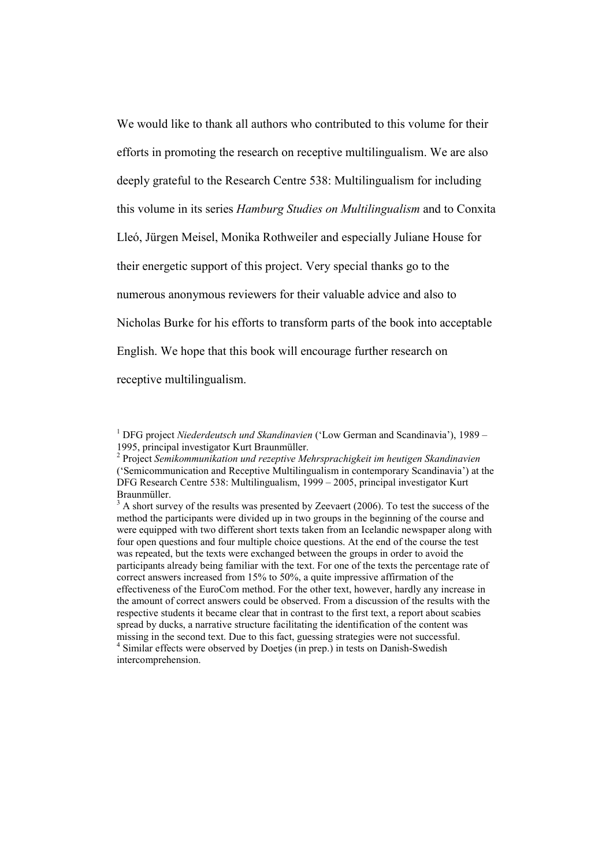We would like to thank all authors who contributed to this volume for their efforts in promoting the research on receptive multilingualism. We are also deeply grateful to the Research Centre 538: Multilingualism for including this volume in its series Hamburg Studies on Multilingualism and to Conxita Lleó, Jürgen Meisel, Monika Rothweiler and especially Juliane House for their energetic support of this project. Very special thanks go to the numerous anonymous reviewers for their valuable advice and also to Nicholas Burke for his efforts to transform parts of the book into acceptable English. We hope that this book will encourage further research on receptive multilingualism.

<sup>&</sup>lt;sup>1</sup> DFG project Niederdeutsch und Skandinavien ('Low German and Scandinavia'), 1989 – 1995, principal investigator Kurt Braunmüller.

 $2$  Project Semikommunikation und rezeptive Mehrsprachigkeit im heutigen Skandinavien ('Semicommunication and Receptive Multilingualism in contemporary Scandinavia') at the DFG Research Centre 538: Multilingualism, 1999 – 2005, principal investigator Kurt Braunmüller.

 $3$  A short survey of the results was presented by Zeevaert (2006). To test the success of the method the participants were divided up in two groups in the beginning of the course and were equipped with two different short texts taken from an Icelandic newspaper along with four open questions and four multiple choice questions. At the end of the course the test was repeated, but the texts were exchanged between the groups in order to avoid the participants already being familiar with the text. For one of the texts the percentage rate of correct answers increased from 15% to 50%, a quite impressive affirmation of the effectiveness of the EuroCom method. For the other text, however, hardly any increase in the amount of correct answers could be observed. From a discussion of the results with the respective students it became clear that in contrast to the first text, a report about scabies spread by ducks, a narrative structure facilitating the identification of the content was missing in the second text. Due to this fact, guessing strategies were not successful. <sup>4</sup> Similar effects were observed by Doetjes (in prep.) in tests on Danish-Swedish intercomprehension.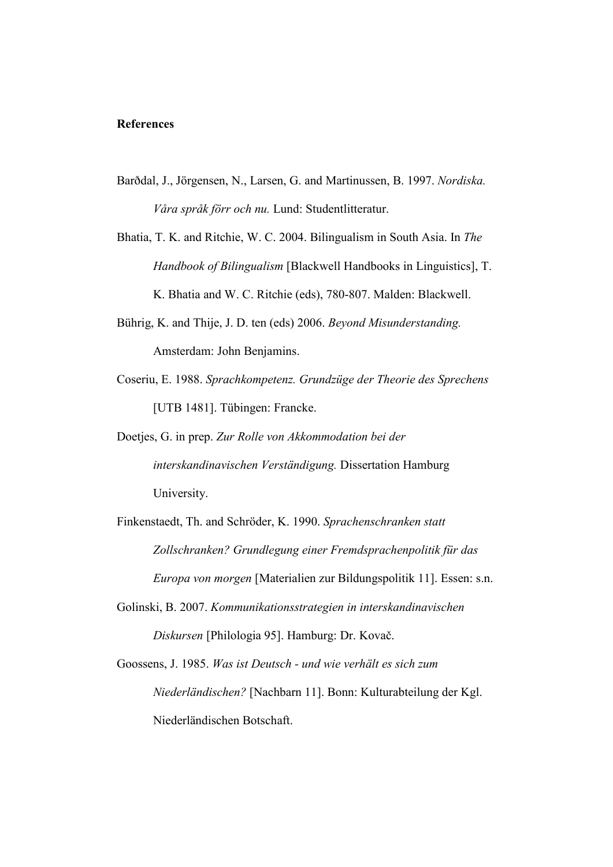## **References**

- Barðdal, J., Jörgensen, N., Larsen, G. and Martinussen, B. 1997. Nordiska. Våra språk förr och nu. Lund: Studentlitteratur.
- Bhatia, T. K. and Ritchie, W. C. 2004. Bilingualism in South Asia. In The Handbook of Bilingualism [Blackwell Handbooks in Linguistics], T. K. Bhatia and W. C. Ritchie (eds), 780-807. Malden: Blackwell.
- Bührig, K. and Thije, J. D. ten (eds) 2006. Beyond Misunderstanding. Amsterdam: John Benjamins.
- Coseriu, E. 1988. Sprachkompetenz. Grundzüge der Theorie des Sprechens [UTB 1481]. Tübingen: Francke.
- Doetjes, G. in prep. Zur Rolle von Akkommodation bei der interskandinavischen Verständigung. Dissertation Hamburg University.
- Finkenstaedt, Th. and Schröder, K. 1990. Sprachenschranken statt Zollschranken? Grundlegung einer Fremdsprachenpolitik für das Europa von morgen [Materialien zur Bildungspolitik 11]. Essen: s.n.
- Golinski, B. 2007. Kommunikationsstrategien in interskandinavischen Diskursen [Philologia 95]. Hamburg: Dr. Kovač.
- Goossens, J. 1985. Was ist Deutsch und wie verhält es sich zum Niederländischen? [Nachbarn 11]. Bonn: Kulturabteilung der Kgl. Niederländischen Botschaft.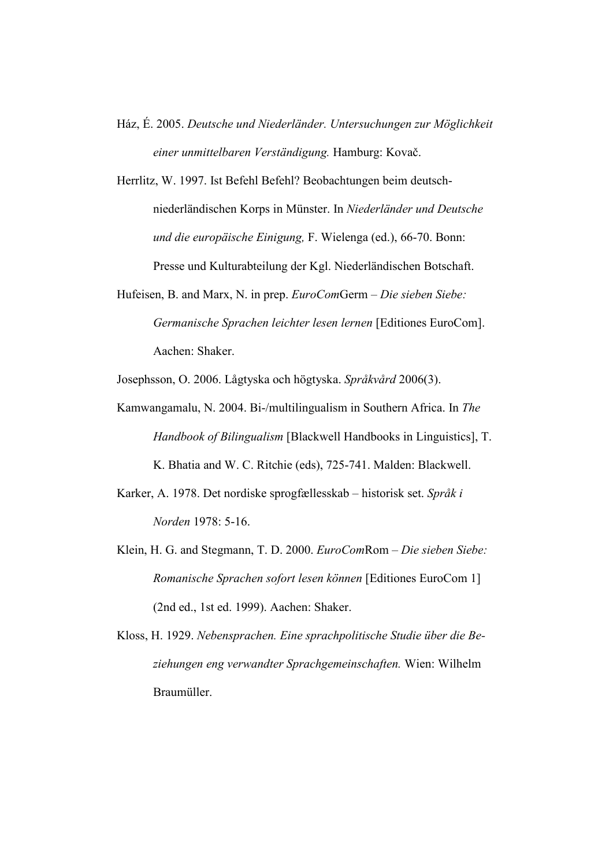- Ház, É. 2005. Deutsche und Niederländer. Untersuchungen zur Möglichkeit einer unmittelbaren Verständigung. Hamburg: Kovač.
- Herrlitz, W. 1997. Ist Befehl Befehl? Beobachtungen beim deutschniederländischen Korps in Münster. In Niederländer und Deutsche und die europäische Einigung, F. Wielenga (ed.), 66-70. Bonn: Presse und Kulturabteilung der Kgl. Niederländischen Botschaft.
- Hufeisen, B. and Marx, N. in prep. EuroComGerm Die sieben Siebe: Germanische Sprachen leichter lesen lernen [Editiones EuroCom]. Aachen: Shaker.

Josephsson, O. 2006. Lågtyska och högtyska. Språkvård 2006(3).

- Kamwangamalu, N. 2004. Bi-/multilingualism in Southern Africa. In The Handbook of Bilingualism [Blackwell Handbooks in Linguistics], T. K. Bhatia and W. C. Ritchie (eds), 725-741. Malden: Blackwell.
- Karker, A. 1978. Det nordiske sprogfællesskab historisk set. Språk i Norden 1978: 5-16.
- Klein, H. G. and Stegmann, T. D. 2000. EuroComRom Die sieben Siebe: Romanische Sprachen sofort lesen können [Editiones EuroCom 1] (2nd ed., 1st ed. 1999). Aachen: Shaker.
- Kloss, H. 1929. Nebensprachen. Eine sprachpolitische Studie über die Beziehungen eng verwandter Sprachgemeinschaften. Wien: Wilhelm Braumüller.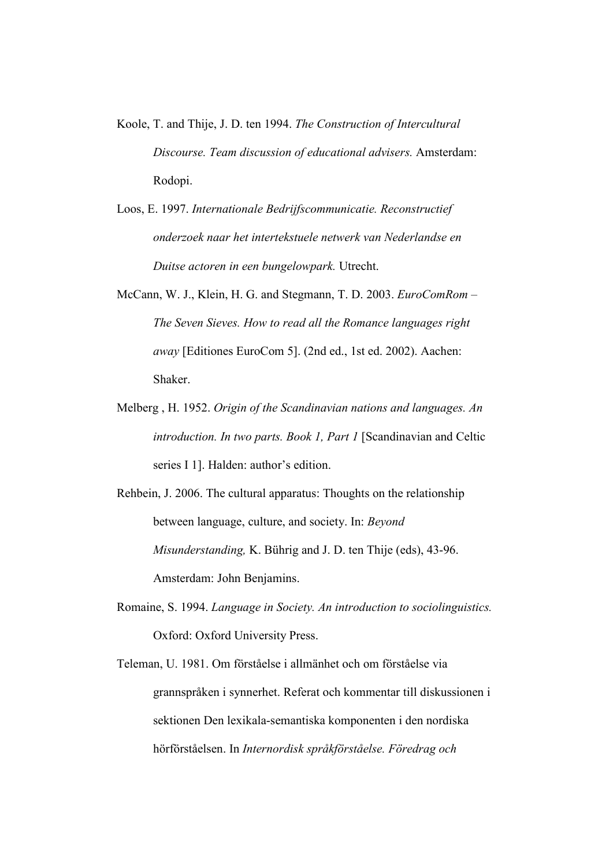- Koole, T. and Thije, J. D. ten 1994. The Construction of Intercultural Discourse. Team discussion of educational advisers. Amsterdam: Rodopi.
- Loos, E. 1997. Internationale Bedrijfscommunicatie. Reconstructief onderzoek naar het intertekstuele netwerk van Nederlandse en Duitse actoren in een bungelowpark. Utrecht.
- McCann, W. J., Klein, H. G. and Stegmann, T. D. 2003. EuroComRom The Seven Sieves. How to read all the Romance languages right away [Editiones EuroCom 5]. (2nd ed., 1st ed. 2002). Aachen: Shaker.
- Melberg , H. 1952. Origin of the Scandinavian nations and languages. An introduction. In two parts. Book 1, Part 1 [Scandinavian and Celtic series I 1]. Halden: author's edition.

Rehbein, J. 2006. The cultural apparatus: Thoughts on the relationship between language, culture, and society. In: Beyond Misunderstanding, K. Bührig and J. D. ten Thije (eds), 43-96. Amsterdam: John Benjamins.

- Romaine, S. 1994. Language in Society. An introduction to sociolinguistics. Oxford: Oxford University Press.
- Teleman, U. 1981. Om förståelse i allmänhet och om förståelse via grannspråken i synnerhet. Referat och kommentar till diskussionen i sektionen Den lexikala-semantiska komponenten i den nordiska hörförståelsen. In Internordisk språkförståelse. Föredrag och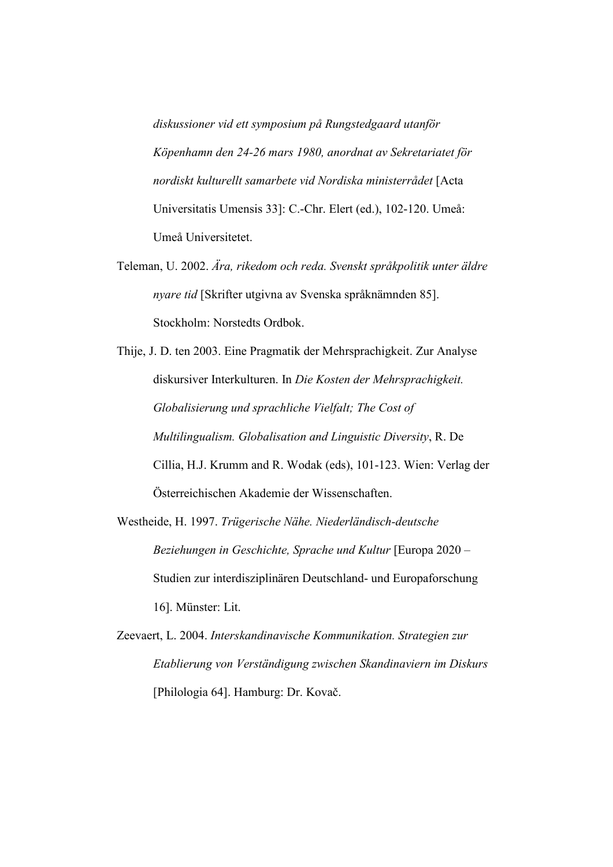diskussioner vid ett symposium på Rungstedgaard utanför Köpenhamn den 24-26 mars 1980, anordnat av Sekretariatet för nordiskt kulturellt samarbete vid Nordiska ministerrådet [Acta Universitatis Umensis 33]: C.-Chr. Elert (ed.), 102-120. Umeå: Umeå Universitetet.

Teleman, U. 2002. Ära, rikedom och reda. Svenskt språkpolitik unter äldre nyare tid [Skrifter utgivna av Svenska språknämnden 85]. Stockholm: Norstedts Ordbok.

Thije, J. D. ten 2003. Eine Pragmatik der Mehrsprachigkeit. Zur Analyse diskursiver Interkulturen. In Die Kosten der Mehrsprachigkeit. Globalisierung und sprachliche Vielfalt; The Cost of Multilingualism. Globalisation and Linguistic Diversity, R. De Cillia, H.J. Krumm and R. Wodak (eds), 101-123. Wien: Verlag der Österreichischen Akademie der Wissenschaften.

- Westheide, H. 1997. Trügerische Nähe. Niederländisch-deutsche Beziehungen in Geschichte, Sprache und Kultur [Europa 2020 – Studien zur interdisziplinären Deutschland- und Europaforschung 16]. Münster: Lit.
- Zeevaert, L. 2004. Interskandinavische Kommunikation. Strategien zur Etablierung von Verständigung zwischen Skandinaviern im Diskurs [Philologia 64]. Hamburg: Dr. Kovač.